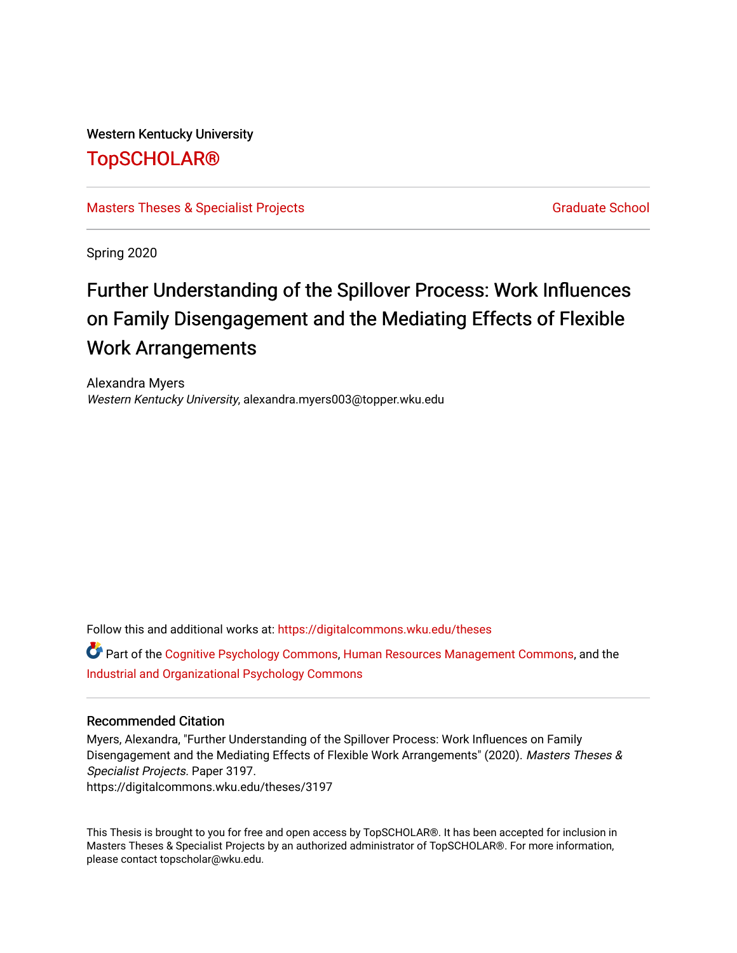Western Kentucky University

# [TopSCHOLAR®](https://digitalcommons.wku.edu/)

[Masters Theses & Specialist Projects](https://digitalcommons.wku.edu/theses) [Graduate School](https://digitalcommons.wku.edu/Graduate) Craduate School Craduate School

Spring 2020

# Further Understanding of the Spillover Process: Work Influences on Family Disengagement and the Mediating Effects of Flexible Work Arrangements

Alexandra Myers Western Kentucky University, alexandra.myers003@topper.wku.edu

Follow this and additional works at: [https://digitalcommons.wku.edu/theses](https://digitalcommons.wku.edu/theses?utm_source=digitalcommons.wku.edu%2Ftheses%2F3197&utm_medium=PDF&utm_campaign=PDFCoverPages) 

Part of the [Cognitive Psychology Commons,](http://network.bepress.com/hgg/discipline/408?utm_source=digitalcommons.wku.edu%2Ftheses%2F3197&utm_medium=PDF&utm_campaign=PDFCoverPages) [Human Resources Management Commons,](http://network.bepress.com/hgg/discipline/633?utm_source=digitalcommons.wku.edu%2Ftheses%2F3197&utm_medium=PDF&utm_campaign=PDFCoverPages) and the [Industrial and Organizational Psychology Commons](http://network.bepress.com/hgg/discipline/412?utm_source=digitalcommons.wku.edu%2Ftheses%2F3197&utm_medium=PDF&utm_campaign=PDFCoverPages)

## Recommended Citation

Myers, Alexandra, "Further Understanding of the Spillover Process: Work Influences on Family Disengagement and the Mediating Effects of Flexible Work Arrangements" (2020). Masters Theses & Specialist Projects. Paper 3197.

https://digitalcommons.wku.edu/theses/3197

This Thesis is brought to you for free and open access by TopSCHOLAR®. It has been accepted for inclusion in Masters Theses & Specialist Projects by an authorized administrator of TopSCHOLAR®. For more information, please contact topscholar@wku.edu.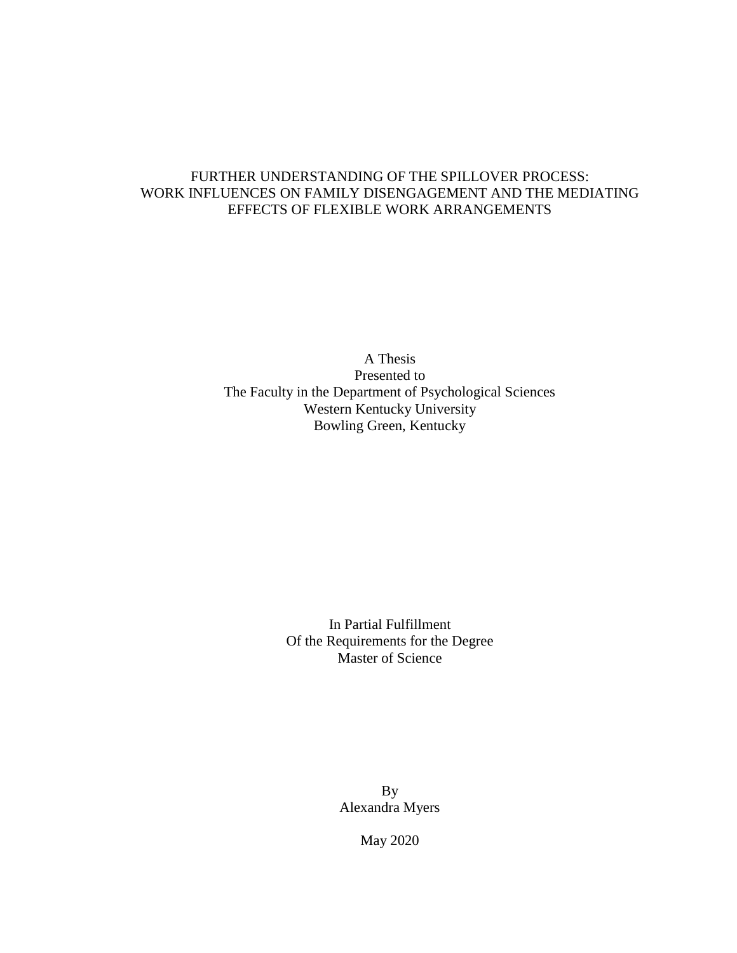# FURTHER UNDERSTANDING OF THE SPILLOVER PROCESS: WORK INFLUENCES ON FAMILY DISENGAGEMENT AND THE MEDIATING EFFECTS OF FLEXIBLE WORK ARRANGEMENTS

A Thesis Presented to The Faculty in the Department of Psychological Sciences Western Kentucky University Bowling Green, Kentucky

> In Partial Fulfillment Of the Requirements for the Degree Master of Science

> > By Alexandra Myers

> > > May 2020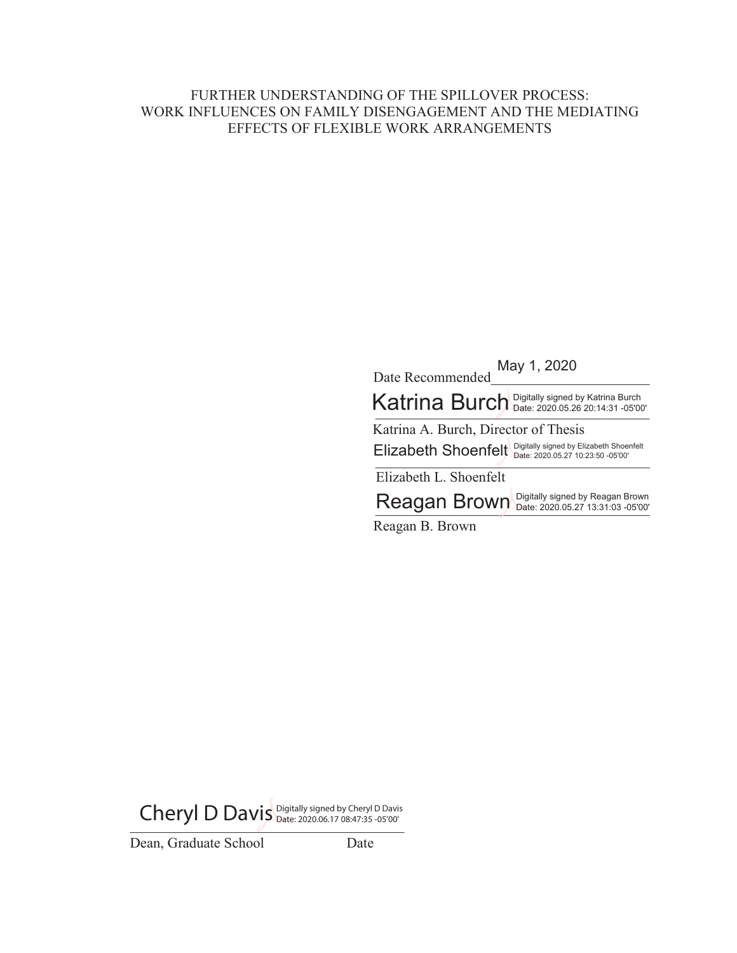## FURTHER UNDERSTANDING OF THE SPILLOVER PROCESS: WORK INFLUENCES ON FAMILY DISENGAGEMENT AND THE MEDIATING EFFECTS OF FLEXIBLE WORK ARRANGEMENTS

'DWH5HFRPPHQGHGBBBBBBBBBBBBBBBBBBBBBB May 1, 2020

Katrina Burch Digitally signed by Katrina Burch

Katrina A. Burch, Director of Thesis Elizabeth Shoenfelt *Digitally signed by Elizabeth Shoenfelt*<br>Date: 2020.05.27 10:23:50 -05'00'

Elizabeth L. Shoenfelt

Reagan Brown Digitally signed by Reagan Brown

Reagan B. Brown

Cheryl D Davis Digitally signed by Cheryl D Davis

Dean, Graduate School Date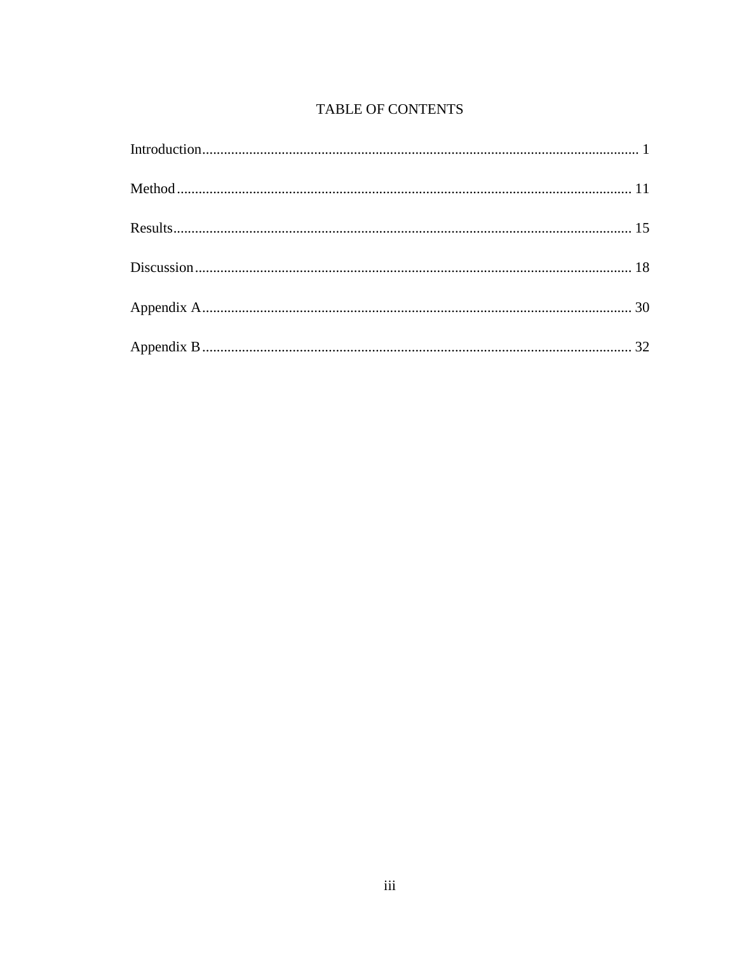# TABLE OF CONTENTS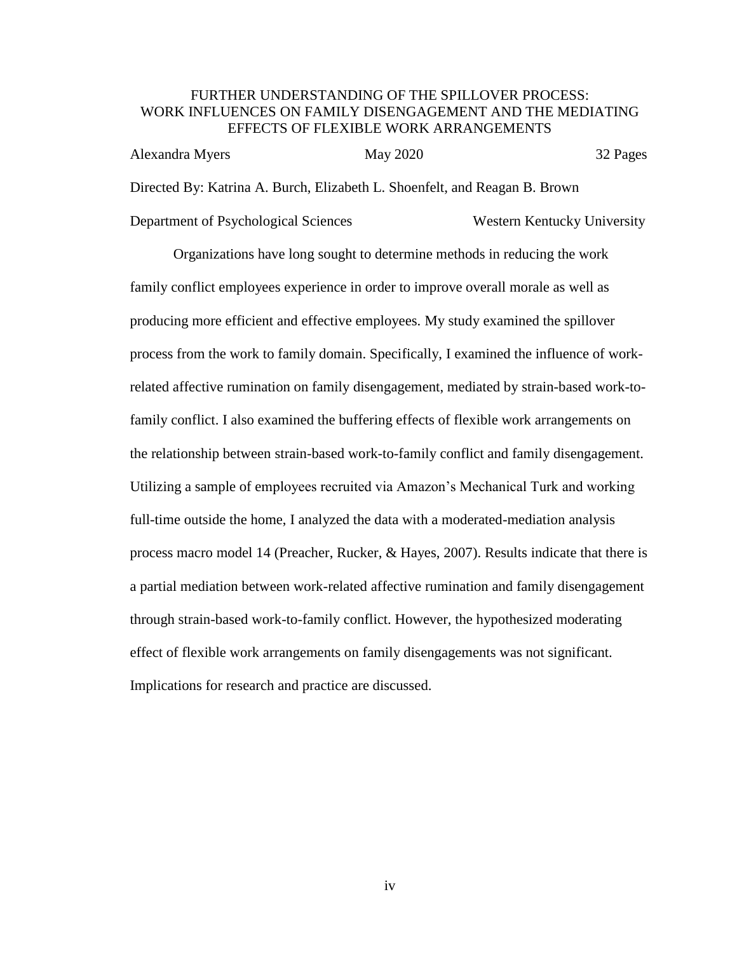## FURTHER UNDERSTANDING OF THE SPILLOVER PROCESS: WORK INFLUENCES ON FAMILY DISENGAGEMENT AND THE MEDIATING EFFECTS OF FLEXIBLE WORK ARRANGEMENTS

| Alexandra Myers                                                            | May 2020 |                             | 32 Pages |
|----------------------------------------------------------------------------|----------|-----------------------------|----------|
| Directed By: Katrina A. Burch, Elizabeth L. Shoenfelt, and Reagan B. Brown |          |                             |          |
| Department of Psychological Sciences                                       |          | Western Kentucky University |          |

Organizations have long sought to determine methods in reducing the work family conflict employees experience in order to improve overall morale as well as producing more efficient and effective employees. My study examined the spillover process from the work to family domain. Specifically, I examined the influence of workrelated affective rumination on family disengagement, mediated by strain-based work-tofamily conflict. I also examined the buffering effects of flexible work arrangements on the relationship between strain-based work-to-family conflict and family disengagement. Utilizing a sample of employees recruited via Amazon's Mechanical Turk and working full-time outside the home, I analyzed the data with a moderated-mediation analysis process macro model 14 (Preacher, Rucker, & Hayes, 2007). Results indicate that there is a partial mediation between work-related affective rumination and family disengagement through strain-based work-to-family conflict. However, the hypothesized moderating effect of flexible work arrangements on family disengagements was not significant. Implications for research and practice are discussed.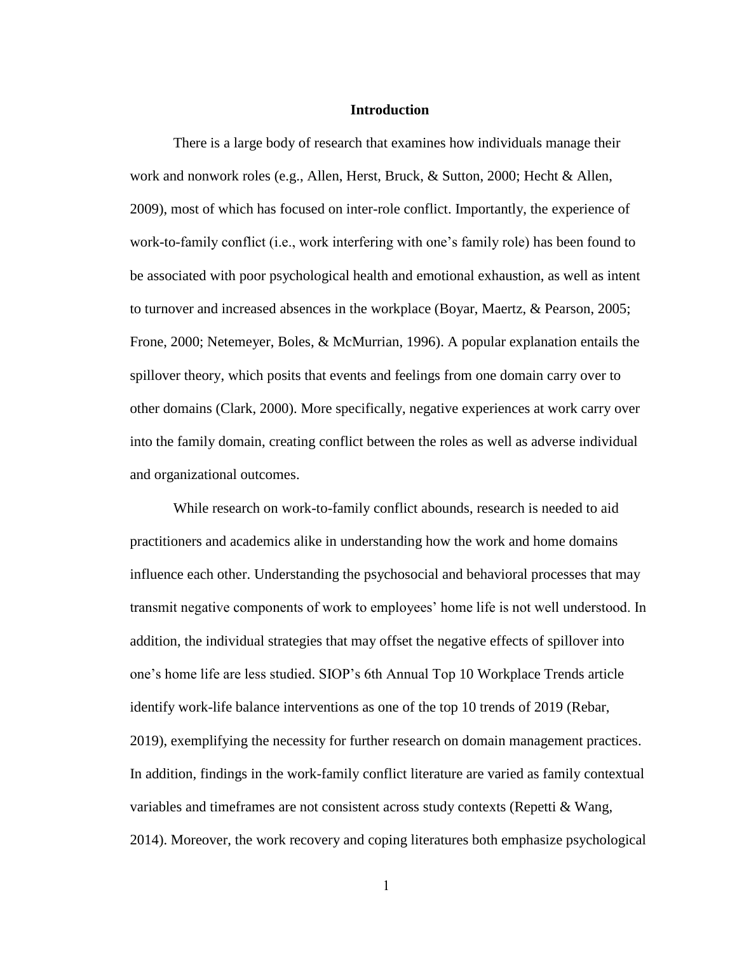#### **Introduction**

<span id="page-5-0"></span>There is a large body of research that examines how individuals manage their work and nonwork roles (e.g., Allen, Herst, Bruck, & Sutton, 2000; Hecht & Allen, 2009), most of which has focused on inter-role conflict. Importantly, the experience of work-to-family conflict (i.e., work interfering with one's family role) has been found to be associated with poor psychological health and emotional exhaustion, as well as intent to turnover and increased absences in the workplace (Boyar, Maertz, & Pearson, 2005; Frone, 2000; Netemeyer, Boles, & McMurrian, 1996). A popular explanation entails the spillover theory, which posits that events and feelings from one domain carry over to other domains (Clark, 2000). More specifically, negative experiences at work carry over into the family domain, creating conflict between the roles as well as adverse individual and organizational outcomes.

While research on work-to-family conflict abounds, research is needed to aid practitioners and academics alike in understanding how the work and home domains influence each other. Understanding the psychosocial and behavioral processes that may transmit negative components of work to employees' home life is not well understood. In addition, the individual strategies that may offset the negative effects of spillover into one's home life are less studied. SIOP's 6th Annual Top 10 Workplace Trends article identify work-life balance interventions as one of the top 10 trends of 2019 (Rebar, 2019), exemplifying the necessity for further research on domain management practices. In addition, findings in the work-family conflict literature are varied as family contextual variables and timeframes are not consistent across study contexts (Repetti & Wang, 2014). Moreover, the work recovery and coping literatures both emphasize psychological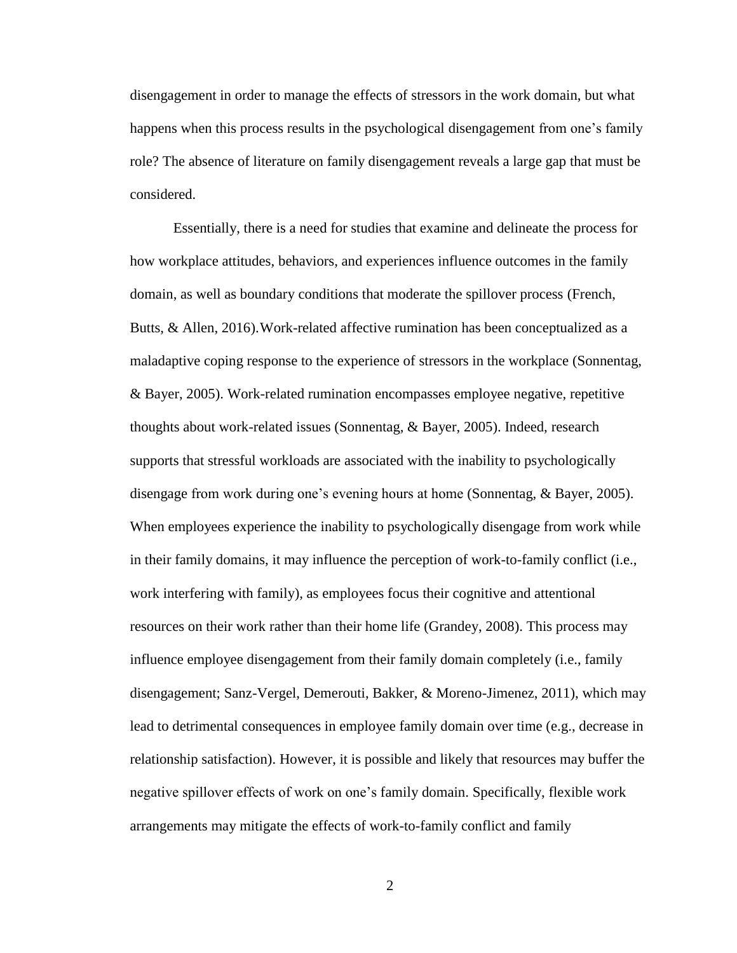disengagement in order to manage the effects of stressors in the work domain, but what happens when this process results in the psychological disengagement from one's family role? The absence of literature on family disengagement reveals a large gap that must be considered.

Essentially, there is a need for studies that examine and delineate the process for how workplace attitudes, behaviors, and experiences influence outcomes in the family domain, as well as boundary conditions that moderate the spillover process (French, Butts, & Allen, 2016).Work-related affective rumination has been conceptualized as a maladaptive coping response to the experience of stressors in the workplace (Sonnentag, & Bayer, 2005). Work-related rumination encompasses employee negative, repetitive thoughts about work-related issues (Sonnentag, & Bayer, 2005). Indeed, research supports that stressful workloads are associated with the inability to psychologically disengage from work during one's evening hours at home (Sonnentag, & Bayer, 2005). When employees experience the inability to psychologically disengage from work while in their family domains, it may influence the perception of work-to-family conflict (i.e., work interfering with family), as employees focus their cognitive and attentional resources on their work rather than their home life (Grandey, 2008). This process may influence employee disengagement from their family domain completely (i.e., family disengagement; Sanz-Vergel, Demerouti, Bakker, & Moreno-Jimenez, 2011), which may lead to detrimental consequences in employee family domain over time (e.g., decrease in relationship satisfaction). However, it is possible and likely that resources may buffer the negative spillover effects of work on one's family domain. Specifically, flexible work arrangements may mitigate the effects of work-to-family conflict and family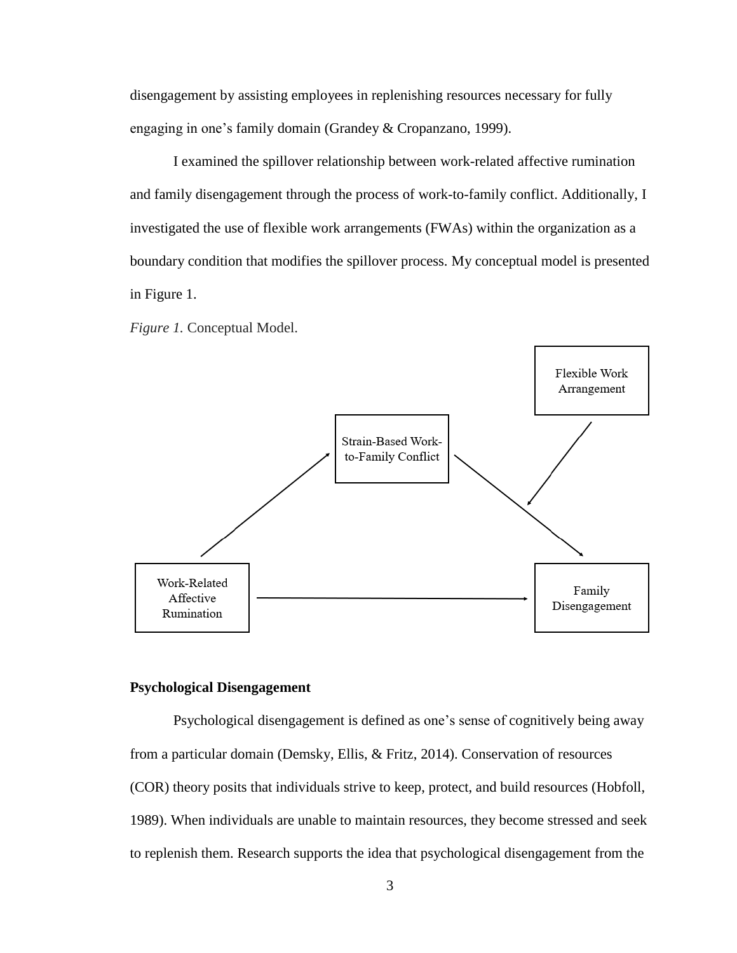disengagement by assisting employees in replenishing resources necessary for fully engaging in one's family domain (Grandey & Cropanzano, 1999).

I examined the spillover relationship between work-related affective rumination and family disengagement through the process of work-to-family conflict. Additionally, I investigated the use of flexible work arrangements (FWAs) within the organization as a boundary condition that modifies the spillover process. My conceptual model is presented in Figure 1.

*Figure 1.* Conceptual Model.



#### **Psychological Disengagement**

Psychological disengagement is defined as one's sense of cognitively being away from a particular domain (Demsky, Ellis, & Fritz, 2014). Conservation of resources (COR) theory posits that individuals strive to keep, protect, and build resources (Hobfoll, 1989). When individuals are unable to maintain resources, they become stressed and seek to replenish them. Research supports the idea that psychological disengagement from the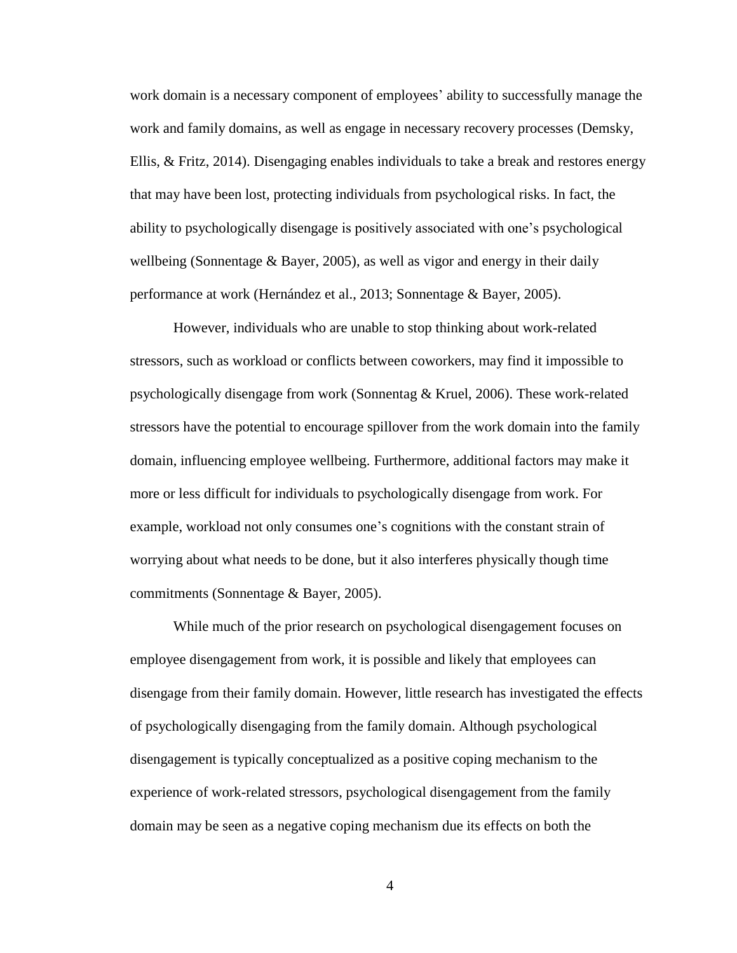work domain is a necessary component of employees' ability to successfully manage the work and family domains, as well as engage in necessary recovery processes (Demsky, Ellis, & Fritz, 2014). Disengaging enables individuals to take a break and restores energy that may have been lost, protecting individuals from psychological risks. In fact, the ability to psychologically disengage is positively associated with one's psychological wellbeing (Sonnentage & Bayer, 2005), as well as vigor and energy in their daily performance at work (Hernández et al., 2013; Sonnentage & Bayer, 2005).

However, individuals who are unable to stop thinking about work-related stressors, such as workload or conflicts between coworkers, may find it impossible to psychologically disengage from work (Sonnentag & Kruel, 2006). These work-related stressors have the potential to encourage spillover from the work domain into the family domain, influencing employee wellbeing. Furthermore, additional factors may make it more or less difficult for individuals to psychologically disengage from work. For example, workload not only consumes one's cognitions with the constant strain of worrying about what needs to be done, but it also interferes physically though time commitments (Sonnentage & Bayer, 2005).

While much of the prior research on psychological disengagement focuses on employee disengagement from work, it is possible and likely that employees can disengage from their family domain. However, little research has investigated the effects of psychologically disengaging from the family domain. Although psychological disengagement is typically conceptualized as a positive coping mechanism to the experience of work-related stressors, psychological disengagement from the family domain may be seen as a negative coping mechanism due its effects on both the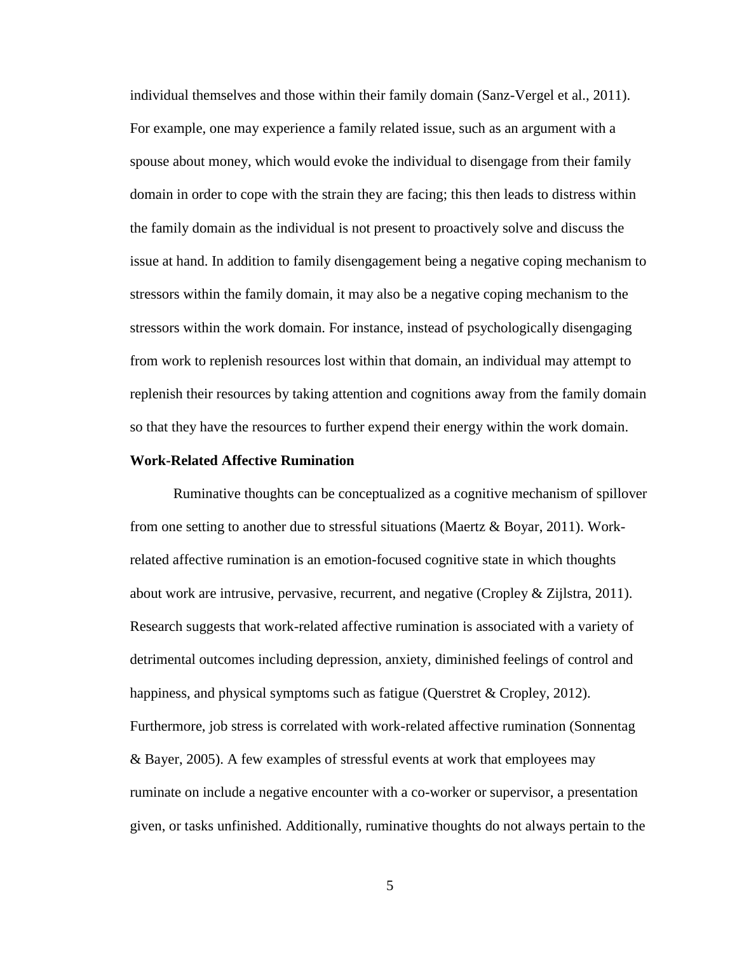individual themselves and those within their family domain (Sanz-Vergel et al., 2011). For example, one may experience a family related issue, such as an argument with a spouse about money, which would evoke the individual to disengage from their family domain in order to cope with the strain they are facing; this then leads to distress within the family domain as the individual is not present to proactively solve and discuss the issue at hand. In addition to family disengagement being a negative coping mechanism to stressors within the family domain, it may also be a negative coping mechanism to the stressors within the work domain. For instance, instead of psychologically disengaging from work to replenish resources lost within that domain, an individual may attempt to replenish their resources by taking attention and cognitions away from the family domain so that they have the resources to further expend their energy within the work domain.

#### **Work-Related Affective Rumination**

Ruminative thoughts can be conceptualized as a cognitive mechanism of spillover from one setting to another due to stressful situations (Maertz & Boyar, 2011). Workrelated affective rumination is an emotion-focused cognitive state in which thoughts about work are intrusive, pervasive, recurrent, and negative (Cropley & Zijlstra, 2011). Research suggests that work-related affective rumination is associated with a variety of detrimental outcomes including depression, anxiety, diminished feelings of control and happiness, and physical symptoms such as fatigue (Querstret & Cropley, 2012). Furthermore, job stress is correlated with work-related affective rumination (Sonnentag & Bayer, 2005). A few examples of stressful events at work that employees may ruminate on include a negative encounter with a co-worker or supervisor, a presentation given, or tasks unfinished. Additionally, ruminative thoughts do not always pertain to the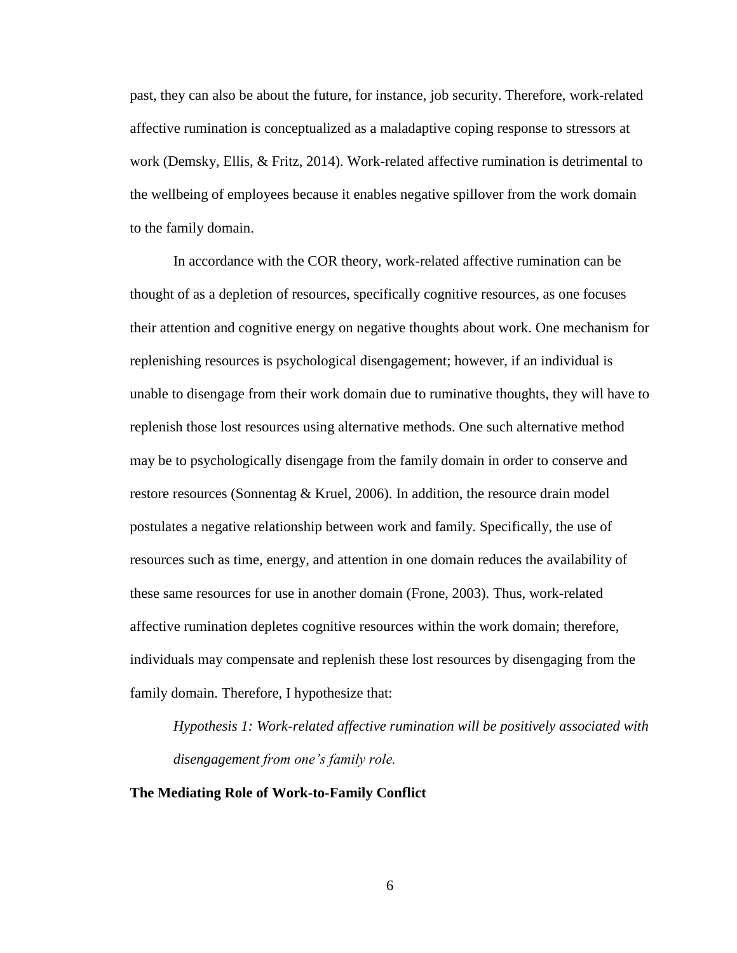past, they can also be about the future, for instance, job security. Therefore, work-related affective rumination is conceptualized as a maladaptive coping response to stressors at work (Demsky, Ellis, & Fritz, 2014). Work-related affective rumination is detrimental to the wellbeing of employees because it enables negative spillover from the work domain to the family domain.

In accordance with the COR theory, work-related affective rumination can be thought of as a depletion of resources, specifically cognitive resources, as one focuses their attention and cognitive energy on negative thoughts about work. One mechanism for replenishing resources is psychological disengagement; however, if an individual is unable to disengage from their work domain due to ruminative thoughts, they will have to replenish those lost resources using alternative methods. One such alternative method may be to psychologically disengage from the family domain in order to conserve and restore resources (Sonnentag & Kruel, 2006). In addition, the resource drain model postulates a negative relationship between work and family. Specifically, the use of resources such as time, energy, and attention in one domain reduces the availability of these same resources for use in another domain (Frone, 2003). Thus, work-related affective rumination depletes cognitive resources within the work domain; therefore, individuals may compensate and replenish these lost resources by disengaging from the family domain. Therefore, I hypothesize that:

*Hypothesis 1: Work-related affective rumination will be positively associated with disengagement from one's family role.* 

#### **The Mediating Role of Work-to-Family Conflict**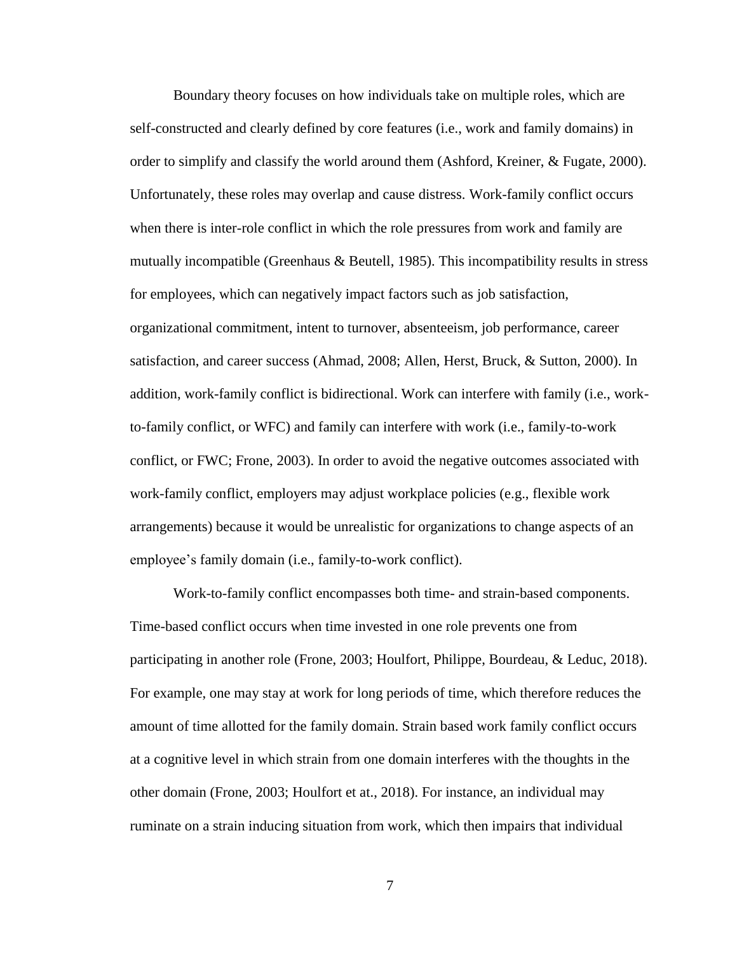Boundary theory focuses on how individuals take on multiple roles, which are self-constructed and clearly defined by core features (i.e., work and family domains) in order to simplify and classify the world around them (Ashford, Kreiner, & Fugate, 2000). Unfortunately, these roles may overlap and cause distress. Work-family conflict occurs when there is inter-role conflict in which the role pressures from work and family are mutually incompatible (Greenhaus & Beutell, 1985). This incompatibility results in stress for employees, which can negatively impact factors such as job satisfaction, organizational commitment, intent to turnover, absenteeism, job performance, career satisfaction, and career success (Ahmad, 2008; Allen, Herst, Bruck, & Sutton, 2000). In addition, work-family conflict is bidirectional. Work can interfere with family (i.e., workto-family conflict, or WFC) and family can interfere with work (i.e., family-to-work conflict, or FWC; Frone, 2003). In order to avoid the negative outcomes associated with work-family conflict, employers may adjust workplace policies (e.g., flexible work arrangements) because it would be unrealistic for organizations to change aspects of an employee's family domain (i.e., family-to-work conflict).

Work-to-family conflict encompasses both time- and strain-based components. Time-based conflict occurs when time invested in one role prevents one from participating in another role (Frone, 2003; Houlfort, Philippe, Bourdeau, & Leduc, 2018). For example, one may stay at work for long periods of time, which therefore reduces the amount of time allotted for the family domain. Strain based work family conflict occurs at a cognitive level in which strain from one domain interferes with the thoughts in the other domain (Frone, 2003; Houlfort et at., 2018). For instance, an individual may ruminate on a strain inducing situation from work, which then impairs that individual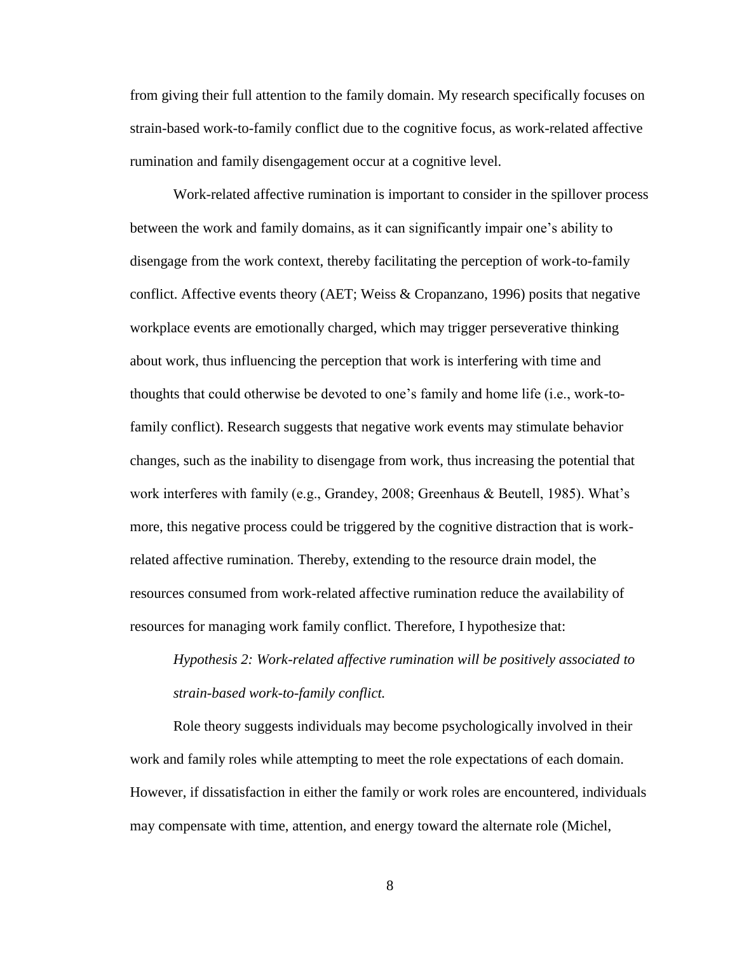from giving their full attention to the family domain. My research specifically focuses on strain-based work-to-family conflict due to the cognitive focus, as work-related affective rumination and family disengagement occur at a cognitive level.

Work-related affective rumination is important to consider in the spillover process between the work and family domains, as it can significantly impair one's ability to disengage from the work context, thereby facilitating the perception of work-to-family conflict. Affective events theory (AET; Weiss & Cropanzano, 1996) posits that negative workplace events are emotionally charged, which may trigger perseverative thinking about work, thus influencing the perception that work is interfering with time and thoughts that could otherwise be devoted to one's family and home life (i.e., work-tofamily conflict). Research suggests that negative work events may stimulate behavior changes, such as the inability to disengage from work, thus increasing the potential that work interferes with family (e.g., Grandey, 2008; Greenhaus & Beutell, 1985). What's more, this negative process could be triggered by the cognitive distraction that is workrelated affective rumination. Thereby, extending to the resource drain model, the resources consumed from work-related affective rumination reduce the availability of resources for managing work family conflict. Therefore, I hypothesize that:

*Hypothesis 2: Work-related affective rumination will be positively associated to strain-based work-to-family conflict.*

Role theory suggests individuals may become psychologically involved in their work and family roles while attempting to meet the role expectations of each domain. However, if dissatisfaction in either the family or work roles are encountered, individuals may compensate with time, attention, and energy toward the alternate role (Michel,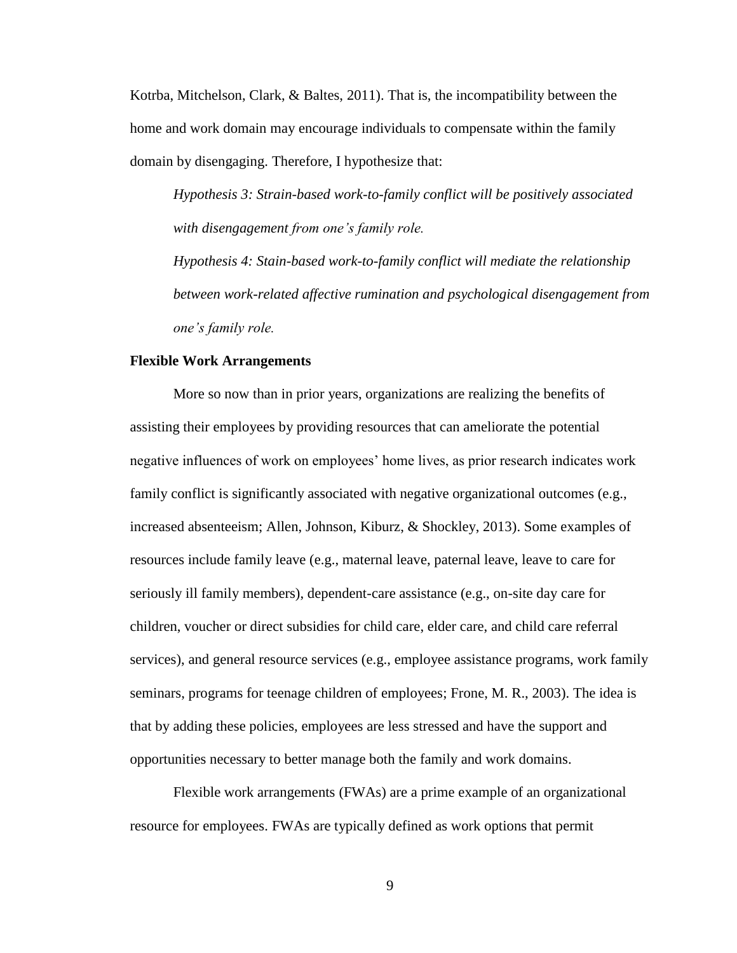Kotrba, Mitchelson, Clark, & Baltes, 2011). That is, the incompatibility between the home and work domain may encourage individuals to compensate within the family domain by disengaging. Therefore, I hypothesize that:

*Hypothesis 3: Strain-based work-to-family conflict will be positively associated with disengagement from one's family role.* 

*Hypothesis 4: Stain-based work-to-family conflict will mediate the relationship between work-related affective rumination and psychological disengagement from one's family role.*

#### **Flexible Work Arrangements**

More so now than in prior years, organizations are realizing the benefits of assisting their employees by providing resources that can ameliorate the potential negative influences of work on employees' home lives, as prior research indicates work family conflict is significantly associated with negative organizational outcomes (e.g., increased absenteeism; Allen, Johnson, Kiburz, & Shockley, 2013). Some examples of resources include family leave (e.g., maternal leave, paternal leave, leave to care for seriously ill family members), dependent-care assistance (e.g., on-site day care for children, voucher or direct subsidies for child care, elder care, and child care referral services), and general resource services (e.g., employee assistance programs, work family seminars, programs for teenage children of employees; Frone, M. R., 2003). The idea is that by adding these policies, employees are less stressed and have the support and opportunities necessary to better manage both the family and work domains.

Flexible work arrangements (FWAs) are a prime example of an organizational resource for employees. FWAs are typically defined as work options that permit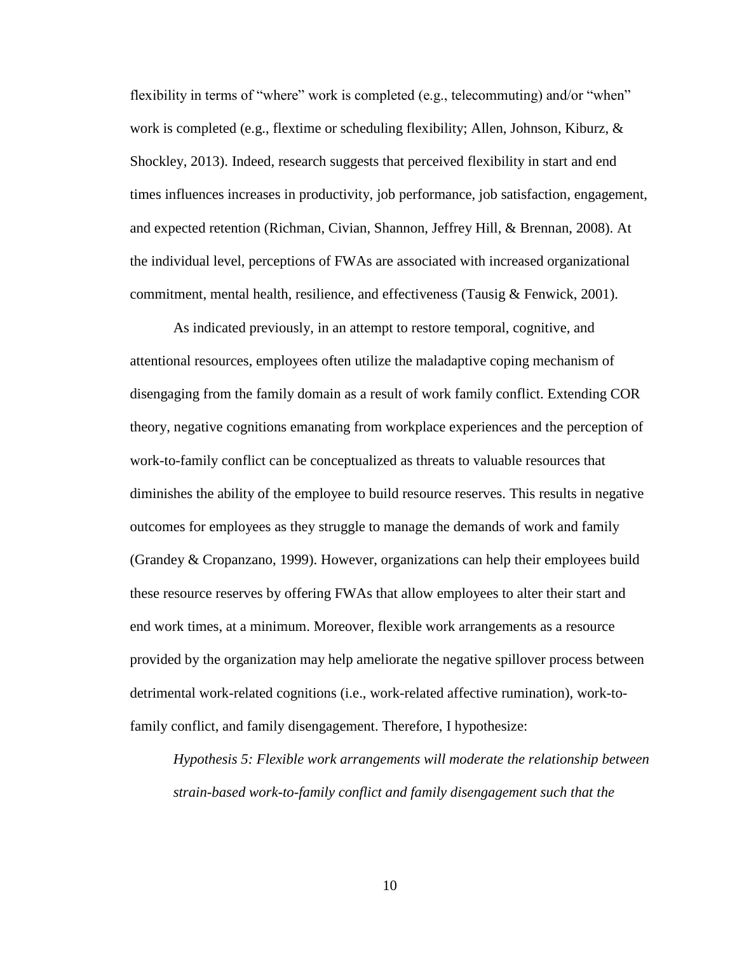flexibility in terms of "where" work is completed (e.g., telecommuting) and/or "when" work is completed (e.g., flextime or scheduling flexibility; Allen, Johnson, Kiburz, & Shockley, 2013). Indeed, research suggests that perceived flexibility in start and end times influences increases in productivity, job performance, job satisfaction, engagement, and expected retention (Richman, Civian, Shannon, Jeffrey Hill, & Brennan, 2008). At the individual level, perceptions of FWAs are associated with increased organizational commitment, mental health, resilience, and effectiveness (Tausig  $\&$  Fenwick, 2001).

As indicated previously, in an attempt to restore temporal, cognitive, and attentional resources, employees often utilize the maladaptive coping mechanism of disengaging from the family domain as a result of work family conflict. Extending COR theory, negative cognitions emanating from workplace experiences and the perception of work-to-family conflict can be conceptualized as threats to valuable resources that diminishes the ability of the employee to build resource reserves. This results in negative outcomes for employees as they struggle to manage the demands of work and family (Grandey & Cropanzano, 1999). However, organizations can help their employees build these resource reserves by offering FWAs that allow employees to alter their start and end work times, at a minimum. Moreover, flexible work arrangements as a resource provided by the organization may help ameliorate the negative spillover process between detrimental work-related cognitions (i.e., work-related affective rumination), work-tofamily conflict, and family disengagement. Therefore, I hypothesize:

*Hypothesis 5: Flexible work arrangements will moderate the relationship between strain-based work-to-family conflict and family disengagement such that the*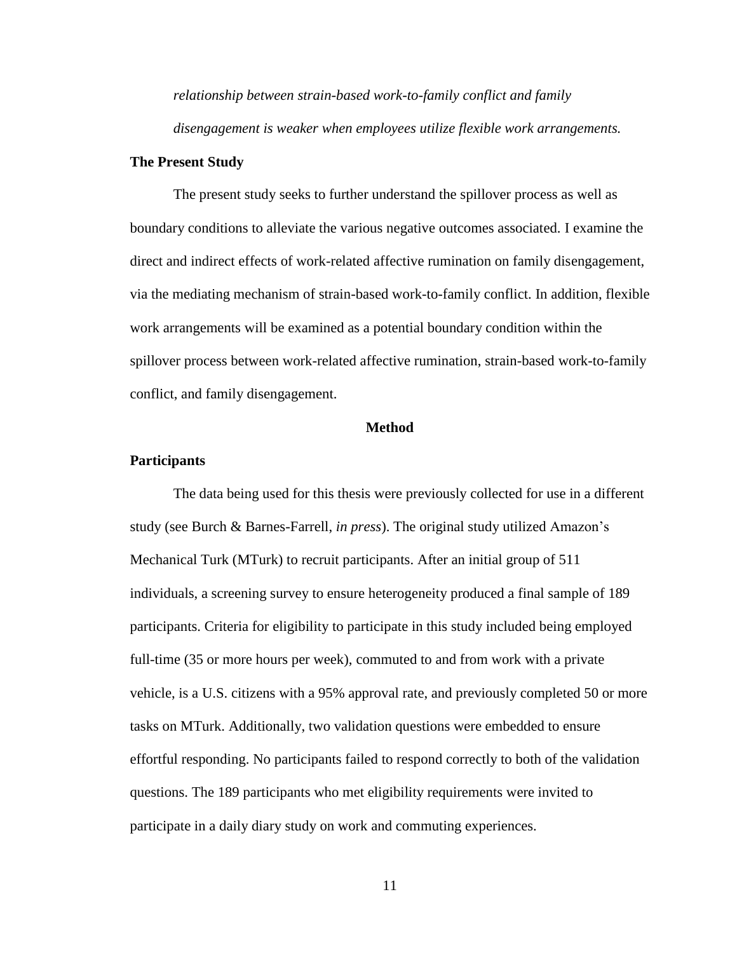*relationship between strain-based work-to-family conflict and family disengagement is weaker when employees utilize flexible work arrangements.* 

#### **The Present Study**

The present study seeks to further understand the spillover process as well as boundary conditions to alleviate the various negative outcomes associated. I examine the direct and indirect effects of work-related affective rumination on family disengagement, via the mediating mechanism of strain-based work-to-family conflict. In addition, flexible work arrangements will be examined as a potential boundary condition within the spillover process between work-related affective rumination, strain-based work-to-family conflict, and family disengagement.

#### **Method**

#### <span id="page-15-0"></span>**Participants**

The data being used for this thesis were previously collected for use in a different study (see Burch & Barnes-Farrell, *in press*). The original study utilized Amazon's Mechanical Turk (MTurk) to recruit participants. After an initial group of 511 individuals, a screening survey to ensure heterogeneity produced a final sample of 189 participants. Criteria for eligibility to participate in this study included being employed full-time (35 or more hours per week), commuted to and from work with a private vehicle, is a U.S. citizens with a 95% approval rate, and previously completed 50 or more tasks on MTurk. Additionally, two validation questions were embedded to ensure effortful responding. No participants failed to respond correctly to both of the validation questions. The 189 participants who met eligibility requirements were invited to participate in a daily diary study on work and commuting experiences.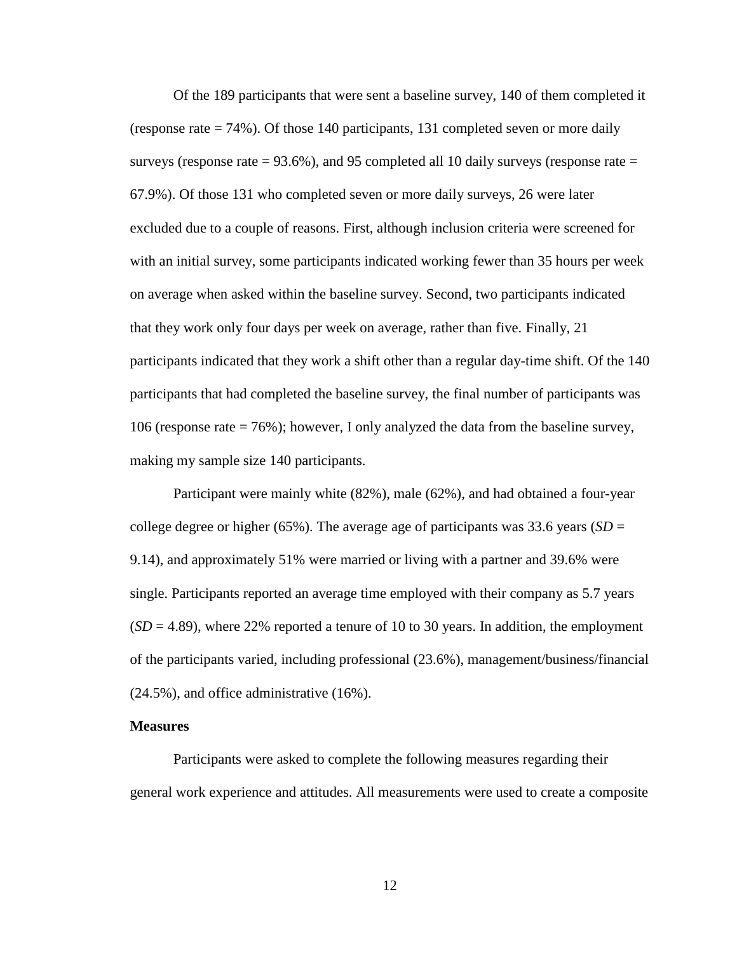Of the 189 participants that were sent a baseline survey, 140 of them completed it (response rate = 74%). Of those 140 participants, 131 completed seven or more daily surveys (response rate  $= 93.6\%$ ), and 95 completed all 10 daily surveys (response rate  $=$ 67.9%). Of those 131 who completed seven or more daily surveys, 26 were later excluded due to a couple of reasons. First, although inclusion criteria were screened for with an initial survey, some participants indicated working fewer than 35 hours per week on average when asked within the baseline survey. Second, two participants indicated that they work only four days per week on average, rather than five. Finally, 21 participants indicated that they work a shift other than a regular day-time shift. Of the 140 participants that had completed the baseline survey, the final number of participants was 106 (response rate = 76%); however, I only analyzed the data from the baseline survey, making my sample size 140 participants.

Participant were mainly white (82%), male (62%), and had obtained a four-year college degree or higher (65%). The average age of participants was 33.6 years (*SD* = 9.14), and approximately 51% were married or living with a partner and 39.6% were single. Participants reported an average time employed with their company as 5.7 years  $(SD = 4.89)$ , where 22% reported a tenure of 10 to 30 years. In addition, the employment of the participants varied, including professional (23.6%), management/business/financial (24.5%), and office administrative (16%).

#### **Measures**

Participants were asked to complete the following measures regarding their general work experience and attitudes. All measurements were used to create a composite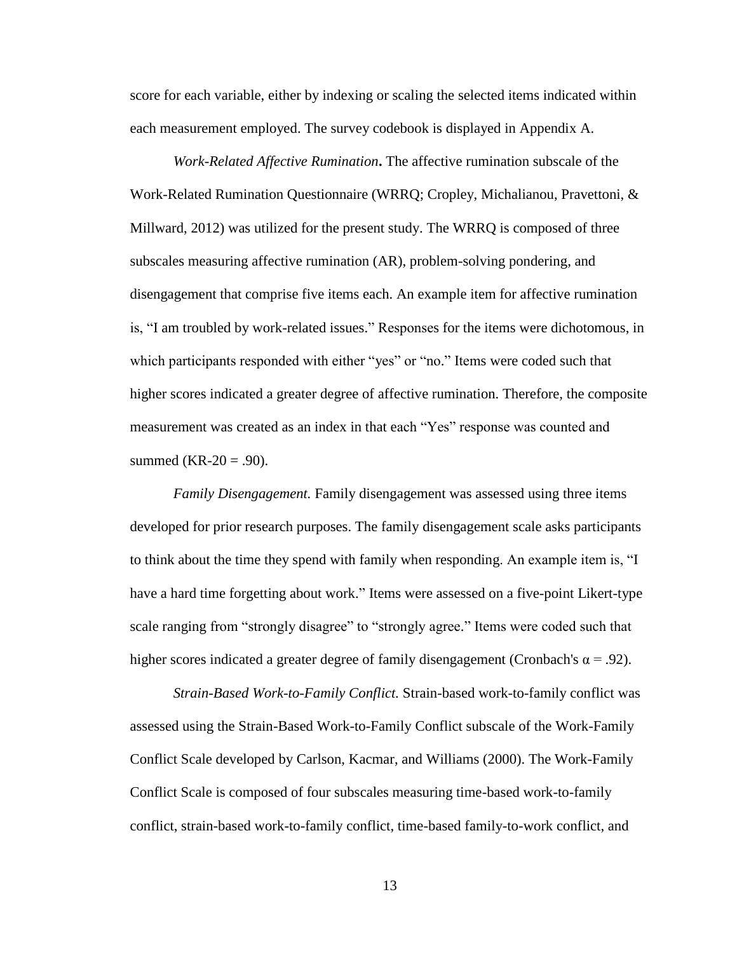score for each variable, either by indexing or scaling the selected items indicated within each measurement employed. The survey codebook is displayed in Appendix A.

*Work-Related Affective Rumination***.** The affective rumination subscale of the Work-Related Rumination Questionnaire (WRRQ; Cropley, Michalianou, Pravettoni, & Millward, 2012) was utilized for the present study. The WRRQ is composed of three subscales measuring affective rumination (AR), problem-solving pondering, and disengagement that comprise five items each. An example item for affective rumination is, "I am troubled by work-related issues." Responses for the items were dichotomous, in which participants responded with either "yes" or "no." Items were coded such that higher scores indicated a greater degree of affective rumination. Therefore, the composite measurement was created as an index in that each "Yes" response was counted and summed (KR-20 = .90).

*Family Disengagement.* Family disengagement was assessed using three items developed for prior research purposes. The family disengagement scale asks participants to think about the time they spend with family when responding. An example item is, "I have a hard time forgetting about work." Items were assessed on a five-point Likert-type scale ranging from "strongly disagree" to "strongly agree." Items were coded such that higher scores indicated a greater degree of family disengagement (Cronbach's  $\alpha = .92$ ).

*Strain-Based Work-to-Family Conflict.* Strain-based work-to-family conflict was assessed using the Strain-Based Work-to-Family Conflict subscale of the Work-Family Conflict Scale developed by Carlson, Kacmar, and Williams (2000). The Work-Family Conflict Scale is composed of four subscales measuring time-based work-to-family conflict, strain-based work-to-family conflict, time-based family-to-work conflict, and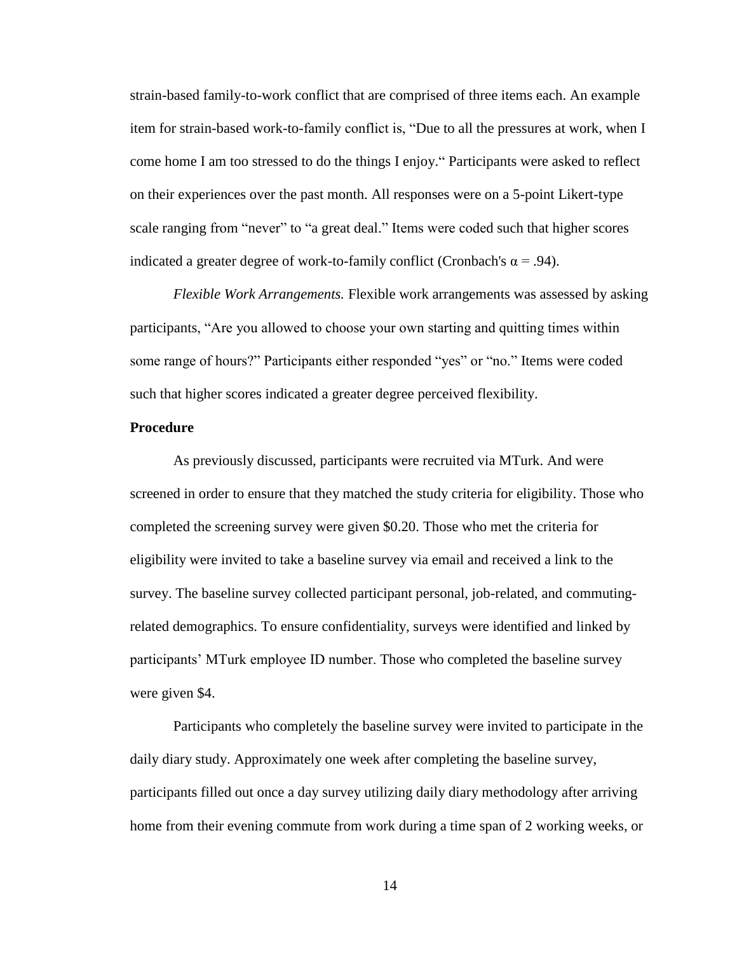strain-based family-to-work conflict that are comprised of three items each. An example item for strain-based work-to-family conflict is, "Due to all the pressures at work, when I come home I am too stressed to do the things I enjoy." Participants were asked to reflect on their experiences over the past month. All responses were on a 5-point Likert-type scale ranging from "never" to "a great deal." Items were coded such that higher scores indicated a greater degree of work-to-family conflict (Cronbach's  $\alpha = .94$ ).

*Flexible Work Arrangements.* Flexible work arrangements was assessed by asking participants, "Are you allowed to choose your own starting and quitting times within some range of hours?" Participants either responded "yes" or "no." Items were coded such that higher scores indicated a greater degree perceived flexibility.

#### **Procedure**

As previously discussed, participants were recruited via MTurk. And were screened in order to ensure that they matched the study criteria for eligibility. Those who completed the screening survey were given \$0.20. Those who met the criteria for eligibility were invited to take a baseline survey via email and received a link to the survey. The baseline survey collected participant personal, job-related, and commutingrelated demographics. To ensure confidentiality, surveys were identified and linked by participants' MTurk employee ID number. Those who completed the baseline survey were given \$4.

Participants who completely the baseline survey were invited to participate in the daily diary study. Approximately one week after completing the baseline survey, participants filled out once a day survey utilizing daily diary methodology after arriving home from their evening commute from work during a time span of 2 working weeks, or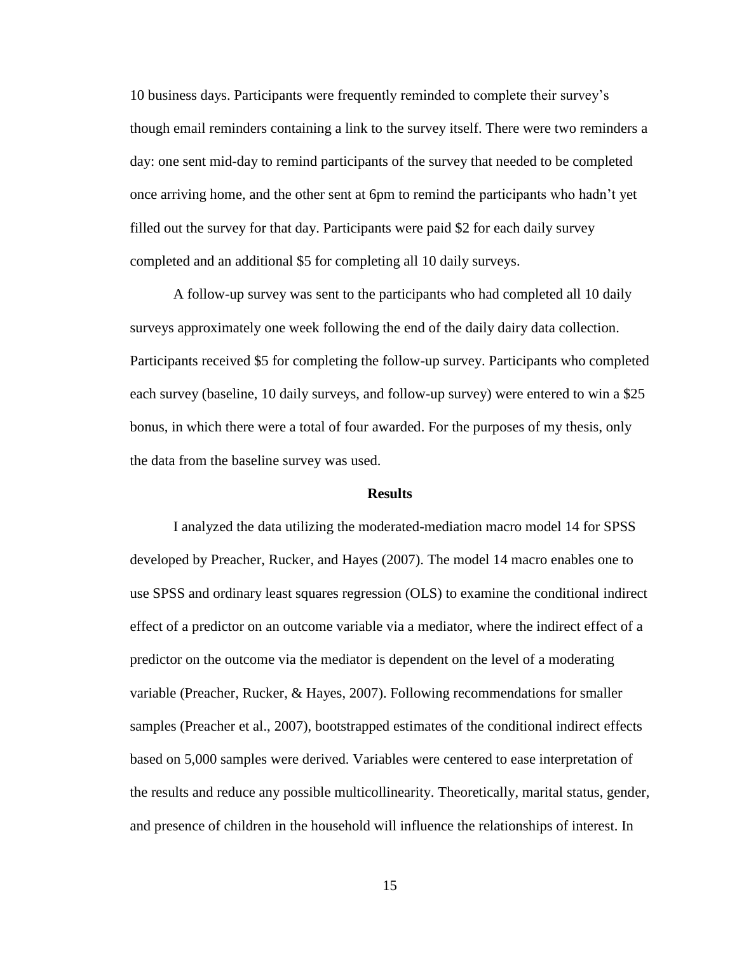10 business days. Participants were frequently reminded to complete their survey's though email reminders containing a link to the survey itself. There were two reminders a day: one sent mid-day to remind participants of the survey that needed to be completed once arriving home, and the other sent at 6pm to remind the participants who hadn't yet filled out the survey for that day. Participants were paid \$2 for each daily survey completed and an additional \$5 for completing all 10 daily surveys.

A follow-up survey was sent to the participants who had completed all 10 daily surveys approximately one week following the end of the daily dairy data collection. Participants received \$5 for completing the follow-up survey. Participants who completed each survey (baseline, 10 daily surveys, and follow-up survey) were entered to win a \$25 bonus, in which there were a total of four awarded. For the purposes of my thesis, only the data from the baseline survey was used.

#### **Results**

<span id="page-19-0"></span>I analyzed the data utilizing the moderated-mediation macro model 14 for SPSS developed by Preacher, Rucker, and Hayes (2007). The model 14 macro enables one to use SPSS and ordinary least squares regression (OLS) to examine the conditional indirect effect of a predictor on an outcome variable via a mediator, where the indirect effect of a predictor on the outcome via the mediator is dependent on the level of a moderating variable (Preacher, Rucker, & Hayes, 2007). Following recommendations for smaller samples (Preacher et al., 2007), bootstrapped estimates of the conditional indirect effects based on 5,000 samples were derived. Variables were centered to ease interpretation of the results and reduce any possible multicollinearity. Theoretically, marital status, gender, and presence of children in the household will influence the relationships of interest. In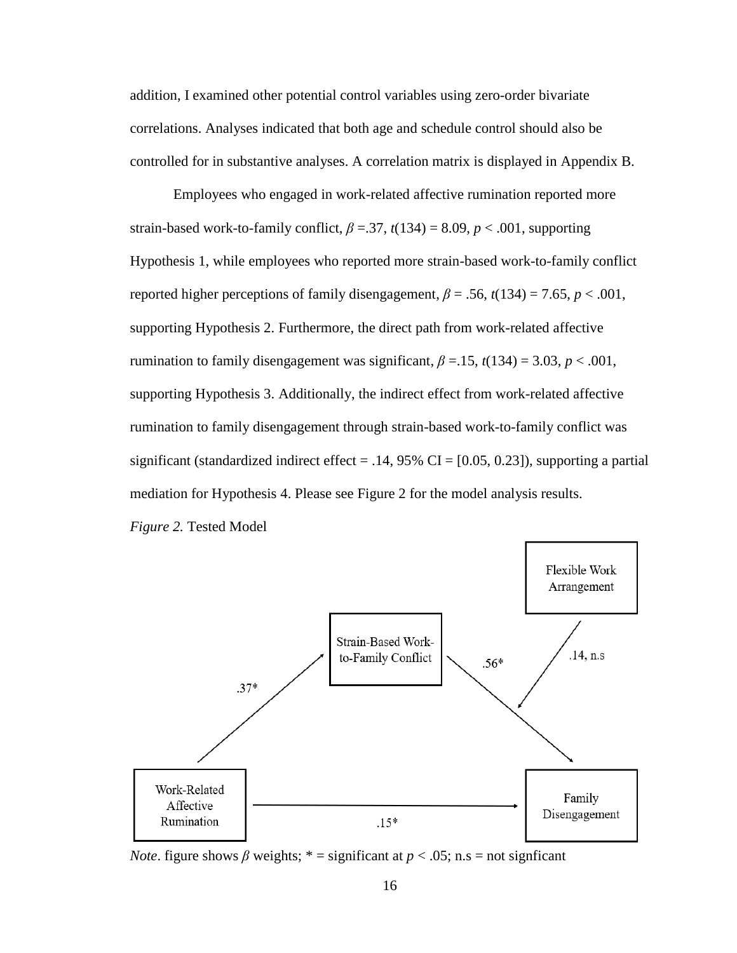addition, I examined other potential control variables using zero-order bivariate correlations. Analyses indicated that both age and schedule control should also be controlled for in substantive analyses. A correlation matrix is displayed in Appendix B.

Employees who engaged in work-related affective rumination reported more strain-based work-to-family conflict,  $\beta = 37$ ,  $t(134) = 8.09$ ,  $p < .001$ , supporting Hypothesis 1, while employees who reported more strain-based work-to-family conflict reported higher perceptions of family disengagement,  $\beta = .56$ ,  $t(134) = 7.65$ ,  $p < .001$ , supporting Hypothesis 2. Furthermore, the direct path from work-related affective rumination to family disengagement was significant,  $\beta = 0.15$ ,  $t(134) = 3.03$ ,  $p < 0.001$ , supporting Hypothesis 3. Additionally, the indirect effect from work-related affective rumination to family disengagement through strain-based work-to-family conflict was significant (standardized indirect effect = .14, 95% CI =  $[0.05, 0.23]$ ), supporting a partial mediation for Hypothesis 4. Please see Figure 2 for the model analysis results. *Figure 2.* Tested Model



*Note*. figure shows *β* weights; \* = significant at  $p < .05$ ; n.s = not significant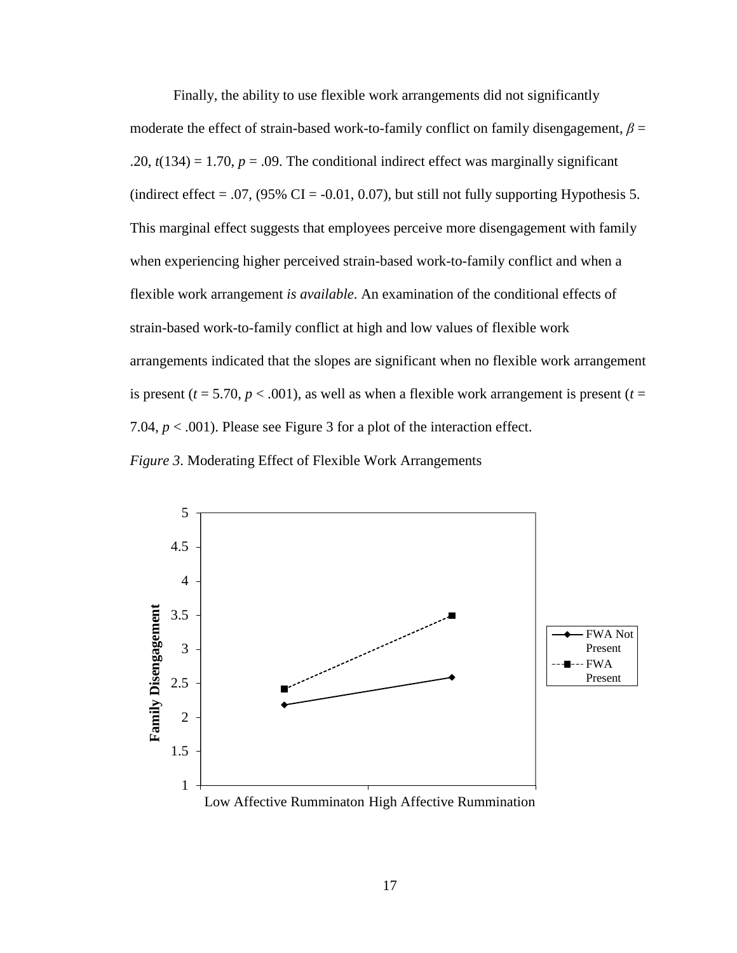Finally, the ability to use flexible work arrangements did not significantly moderate the effect of strain-based work-to-family conflict on family disengagement,  $\beta$  = .20,  $t(134) = 1.70$ ,  $p = .09$ . The conditional indirect effect was marginally significant (indirect effect = .07,  $(95\% \text{ CI} = -0.01, 0.07)$ , but still not fully supporting Hypothesis 5. This marginal effect suggests that employees perceive more disengagement with family when experiencing higher perceived strain-based work-to-family conflict and when a flexible work arrangement *is available*. An examination of the conditional effects of strain-based work-to-family conflict at high and low values of flexible work arrangements indicated that the slopes are significant when no flexible work arrangement is present ( $t = 5.70$ ,  $p < .001$ ), as well as when a flexible work arrangement is present ( $t =$ 7.04,  $p < .001$ ). Please see Figure 3 for a plot of the interaction effect.

*Figure 3*. Moderating Effect of Flexible Work Arrangements

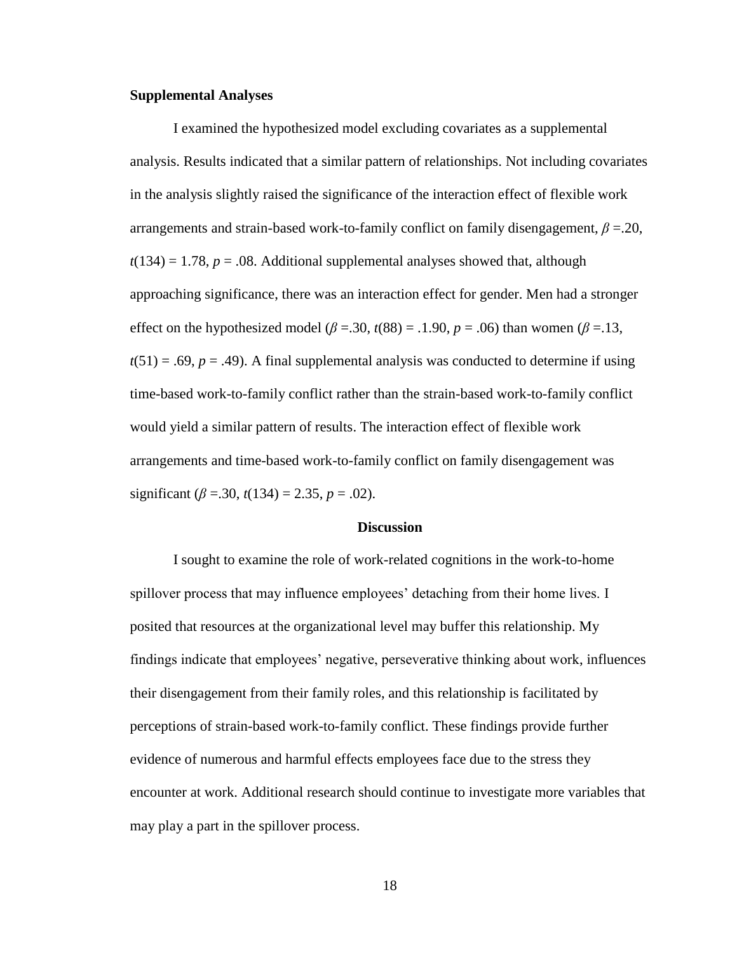#### **Supplemental Analyses**

I examined the hypothesized model excluding covariates as a supplemental analysis. Results indicated that a similar pattern of relationships. Not including covariates in the analysis slightly raised the significance of the interaction effect of flexible work arrangements and strain-based work-to-family conflict on family disengagement, *β* =.20,  $t(134) = 1.78$ ,  $p = .08$ . Additional supplemental analyses showed that, although approaching significance, there was an interaction effect for gender. Men had a stronger effect on the hypothesized model ( $β = .30$ ,  $t(88) = .1.90$ ,  $p = .06$ ) than women ( $β = .13$ ,  $t(51) = .69$ ,  $p = .49$ ). A final supplemental analysis was conducted to determine if using time-based work-to-family conflict rather than the strain-based work-to-family conflict would yield a similar pattern of results. The interaction effect of flexible work arrangements and time-based work-to-family conflict on family disengagement was significant  $(\beta = .30, t(134) = 2.35, p = .02)$ .

#### **Discussion**

<span id="page-22-0"></span>I sought to examine the role of work-related cognitions in the work-to-home spillover process that may influence employees' detaching from their home lives. I posited that resources at the organizational level may buffer this relationship. My findings indicate that employees' negative, perseverative thinking about work, influences their disengagement from their family roles, and this relationship is facilitated by perceptions of strain-based work-to-family conflict. These findings provide further evidence of numerous and harmful effects employees face due to the stress they encounter at work. Additional research should continue to investigate more variables that may play a part in the spillover process.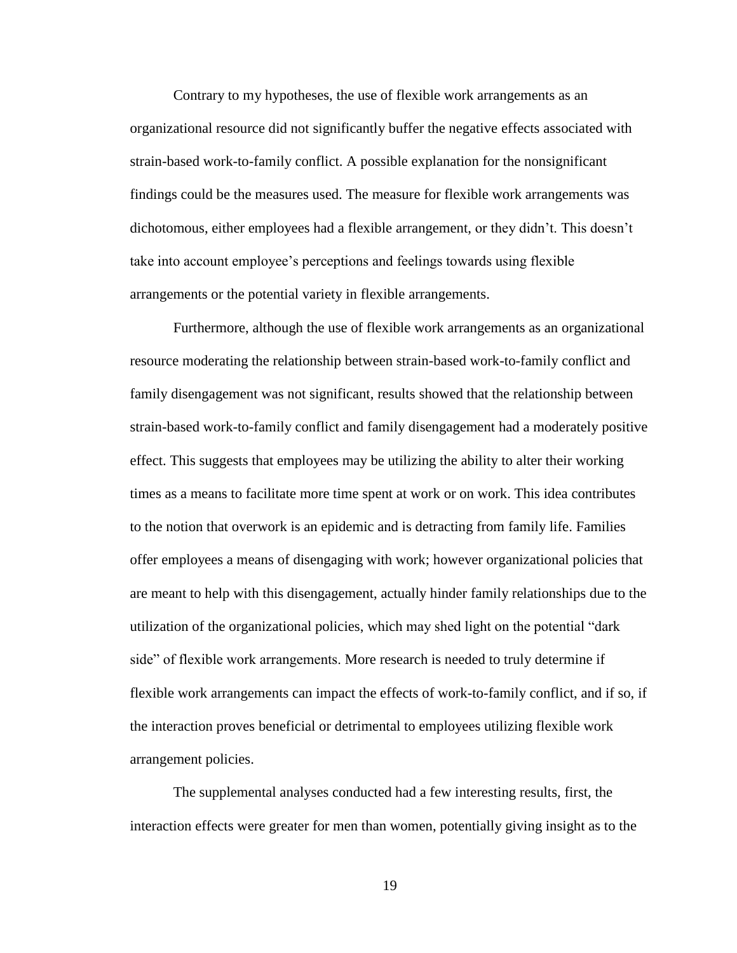Contrary to my hypotheses, the use of flexible work arrangements as an organizational resource did not significantly buffer the negative effects associated with strain-based work-to-family conflict. A possible explanation for the nonsignificant findings could be the measures used. The measure for flexible work arrangements was dichotomous, either employees had a flexible arrangement, or they didn't. This doesn't take into account employee's perceptions and feelings towards using flexible arrangements or the potential variety in flexible arrangements.

Furthermore, although the use of flexible work arrangements as an organizational resource moderating the relationship between strain-based work-to-family conflict and family disengagement was not significant, results showed that the relationship between strain-based work-to-family conflict and family disengagement had a moderately positive effect. This suggests that employees may be utilizing the ability to alter their working times as a means to facilitate more time spent at work or on work. This idea contributes to the notion that overwork is an epidemic and is detracting from family life. Families offer employees a means of disengaging with work; however organizational policies that are meant to help with this disengagement, actually hinder family relationships due to the utilization of the organizational policies, which may shed light on the potential "dark side" of flexible work arrangements. More research is needed to truly determine if flexible work arrangements can impact the effects of work-to-family conflict, and if so, if the interaction proves beneficial or detrimental to employees utilizing flexible work arrangement policies.

The supplemental analyses conducted had a few interesting results, first, the interaction effects were greater for men than women, potentially giving insight as to the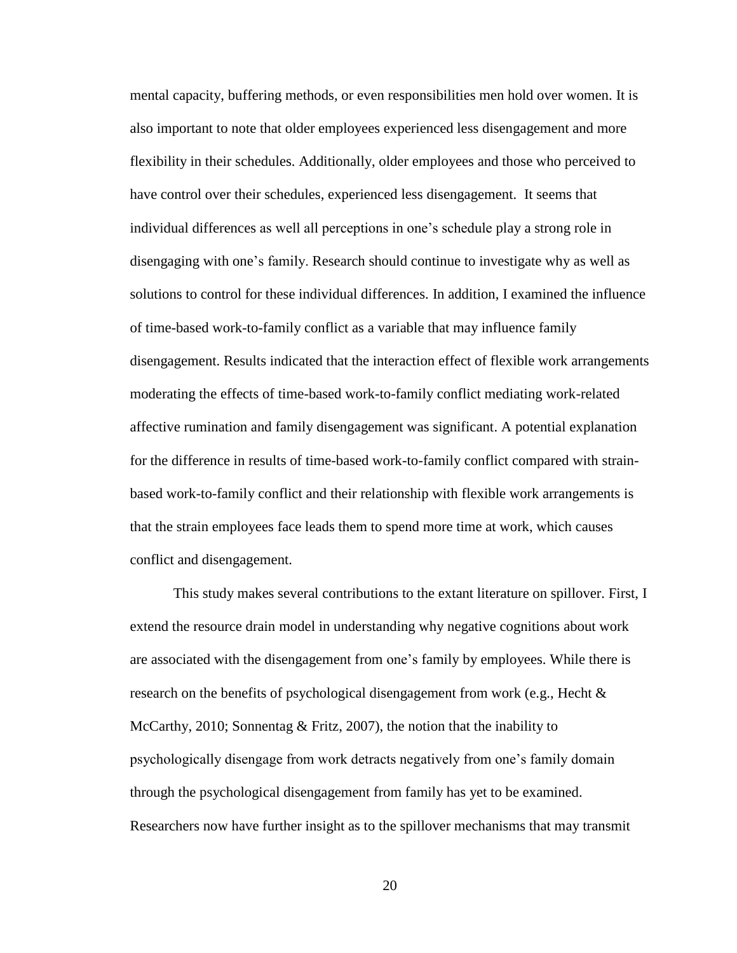mental capacity, buffering methods, or even responsibilities men hold over women. It is also important to note that older employees experienced less disengagement and more flexibility in their schedules. Additionally, older employees and those who perceived to have control over their schedules, experienced less disengagement. It seems that individual differences as well all perceptions in one's schedule play a strong role in disengaging with one's family. Research should continue to investigate why as well as solutions to control for these individual differences. In addition, I examined the influence of time-based work-to-family conflict as a variable that may influence family disengagement. Results indicated that the interaction effect of flexible work arrangements moderating the effects of time-based work-to-family conflict mediating work-related affective rumination and family disengagement was significant. A potential explanation for the difference in results of time-based work-to-family conflict compared with strainbased work-to-family conflict and their relationship with flexible work arrangements is that the strain employees face leads them to spend more time at work, which causes conflict and disengagement.

This study makes several contributions to the extant literature on spillover. First, I extend the resource drain model in understanding why negative cognitions about work are associated with the disengagement from one's family by employees. While there is research on the benefits of psychological disengagement from work (e.g., Hecht & McCarthy, 2010; Sonnentag & Fritz, 2007), the notion that the inability to psychologically disengage from work detracts negatively from one's family domain through the psychological disengagement from family has yet to be examined. Researchers now have further insight as to the spillover mechanisms that may transmit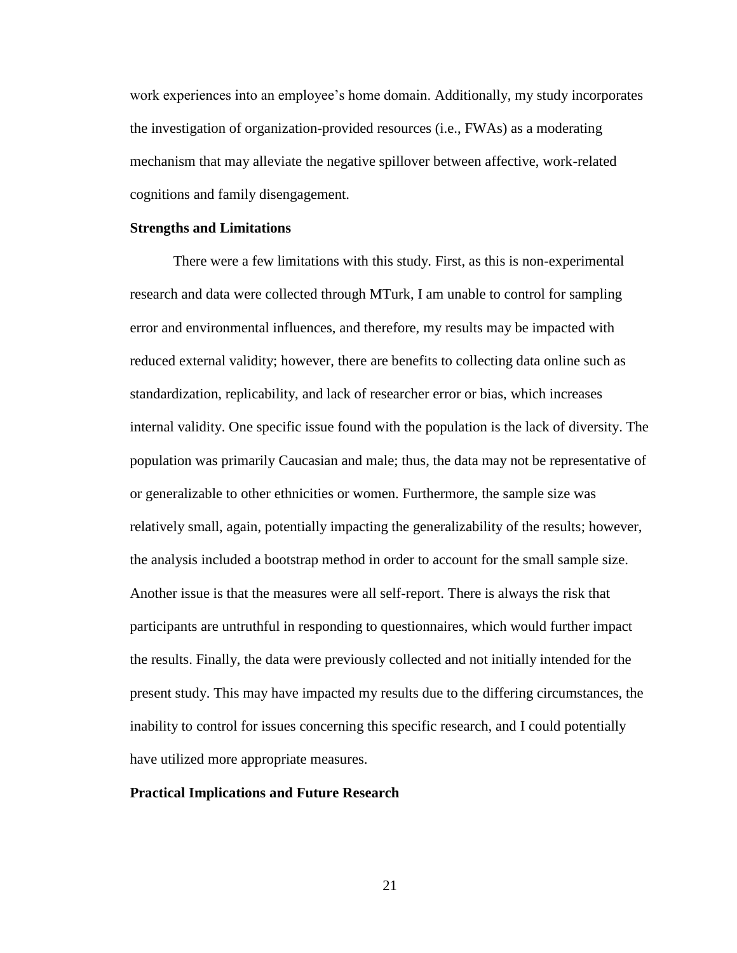work experiences into an employee's home domain. Additionally, my study incorporates the investigation of organization-provided resources (i.e., FWAs) as a moderating mechanism that may alleviate the negative spillover between affective, work-related cognitions and family disengagement.

#### **Strengths and Limitations**

There were a few limitations with this study. First, as this is non-experimental research and data were collected through MTurk, I am unable to control for sampling error and environmental influences, and therefore, my results may be impacted with reduced external validity; however, there are benefits to collecting data online such as standardization, replicability, and lack of researcher error or bias, which increases internal validity. One specific issue found with the population is the lack of diversity. The population was primarily Caucasian and male; thus, the data may not be representative of or generalizable to other ethnicities or women. Furthermore, the sample size was relatively small, again, potentially impacting the generalizability of the results; however, the analysis included a bootstrap method in order to account for the small sample size. Another issue is that the measures were all self-report. There is always the risk that participants are untruthful in responding to questionnaires, which would further impact the results. Finally, the data were previously collected and not initially intended for the present study. This may have impacted my results due to the differing circumstances, the inability to control for issues concerning this specific research, and I could potentially have utilized more appropriate measures.

#### **Practical Implications and Future Research**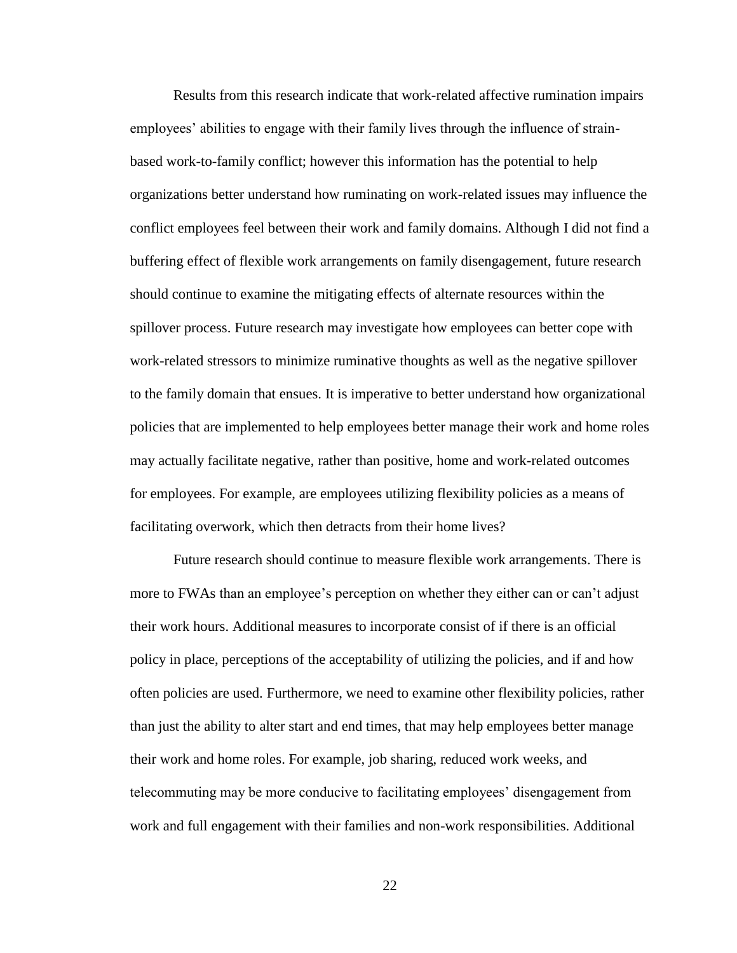Results from this research indicate that work-related affective rumination impairs employees' abilities to engage with their family lives through the influence of strainbased work-to-family conflict; however this information has the potential to help organizations better understand how ruminating on work-related issues may influence the conflict employees feel between their work and family domains. Although I did not find a buffering effect of flexible work arrangements on family disengagement, future research should continue to examine the mitigating effects of alternate resources within the spillover process. Future research may investigate how employees can better cope with work-related stressors to minimize ruminative thoughts as well as the negative spillover to the family domain that ensues. It is imperative to better understand how organizational policies that are implemented to help employees better manage their work and home roles may actually facilitate negative, rather than positive, home and work-related outcomes for employees. For example, are employees utilizing flexibility policies as a means of facilitating overwork, which then detracts from their home lives?

Future research should continue to measure flexible work arrangements. There is more to FWAs than an employee's perception on whether they either can or can't adjust their work hours. Additional measures to incorporate consist of if there is an official policy in place, perceptions of the acceptability of utilizing the policies, and if and how often policies are used. Furthermore, we need to examine other flexibility policies, rather than just the ability to alter start and end times, that may help employees better manage their work and home roles. For example, job sharing, reduced work weeks, and telecommuting may be more conducive to facilitating employees' disengagement from work and full engagement with their families and non-work responsibilities. Additional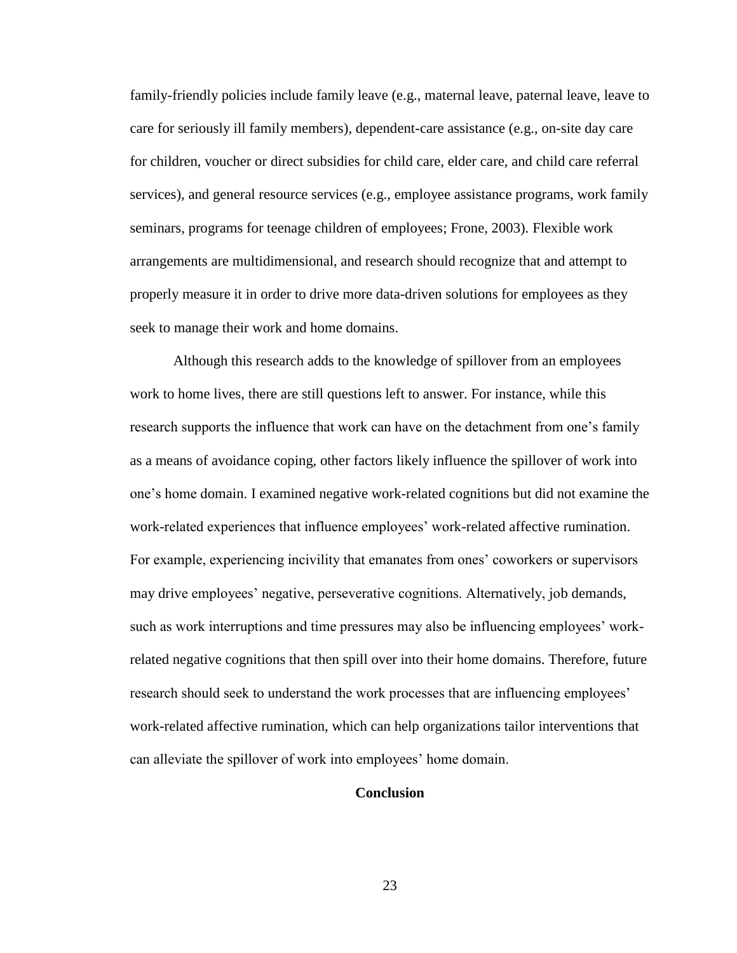family-friendly policies include family leave (e.g., maternal leave, paternal leave, leave to care for seriously ill family members), dependent-care assistance (e.g., on-site day care for children, voucher or direct subsidies for child care, elder care, and child care referral services), and general resource services (e.g., employee assistance programs, work family seminars, programs for teenage children of employees; Frone, 2003). Flexible work arrangements are multidimensional, and research should recognize that and attempt to properly measure it in order to drive more data-driven solutions for employees as they seek to manage their work and home domains.

Although this research adds to the knowledge of spillover from an employees work to home lives, there are still questions left to answer. For instance, while this research supports the influence that work can have on the detachment from one's family as a means of avoidance coping, other factors likely influence the spillover of work into one's home domain. I examined negative work-related cognitions but did not examine the work-related experiences that influence employees' work-related affective rumination. For example, experiencing incivility that emanates from ones' coworkers or supervisors may drive employees' negative, perseverative cognitions. Alternatively, job demands, such as work interruptions and time pressures may also be influencing employees' workrelated negative cognitions that then spill over into their home domains. Therefore, future research should seek to understand the work processes that are influencing employees' work-related affective rumination, which can help organizations tailor interventions that can alleviate the spillover of work into employees' home domain.

## **Conclusion**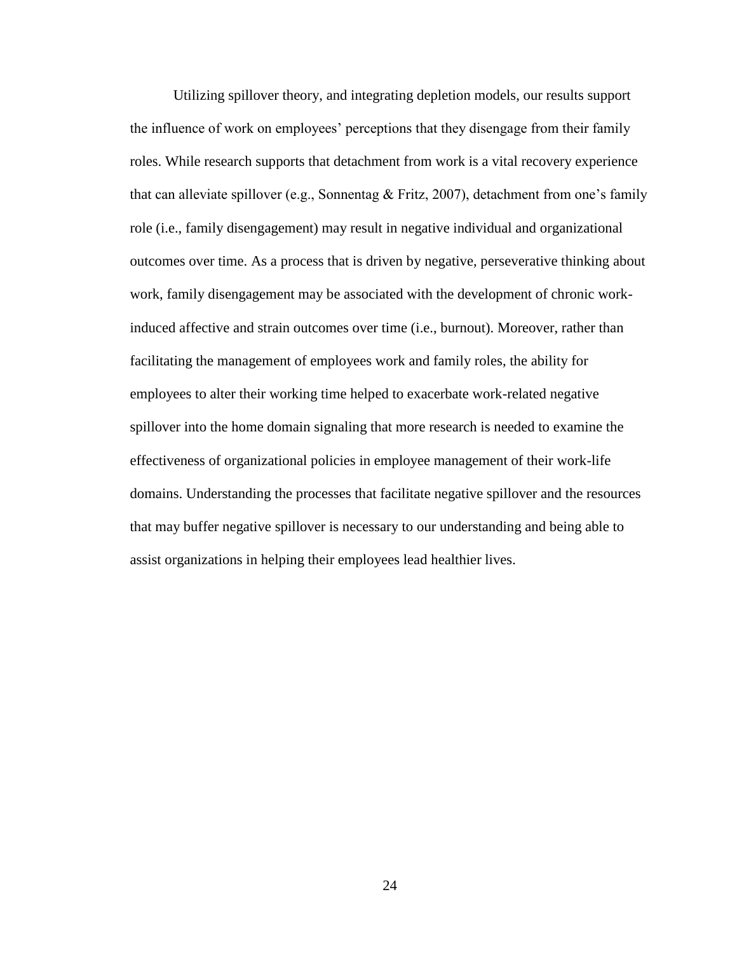Utilizing spillover theory, and integrating depletion models, our results support the influence of work on employees' perceptions that they disengage from their family roles. While research supports that detachment from work is a vital recovery experience that can alleviate spillover (e.g., Sonnentag & Fritz, 2007), detachment from one's family role (i.e., family disengagement) may result in negative individual and organizational outcomes over time. As a process that is driven by negative, perseverative thinking about work, family disengagement may be associated with the development of chronic workinduced affective and strain outcomes over time (i.e., burnout). Moreover, rather than facilitating the management of employees work and family roles, the ability for employees to alter their working time helped to exacerbate work-related negative spillover into the home domain signaling that more research is needed to examine the effectiveness of organizational policies in employee management of their work-life domains. Understanding the processes that facilitate negative spillover and the resources that may buffer negative spillover is necessary to our understanding and being able to assist organizations in helping their employees lead healthier lives.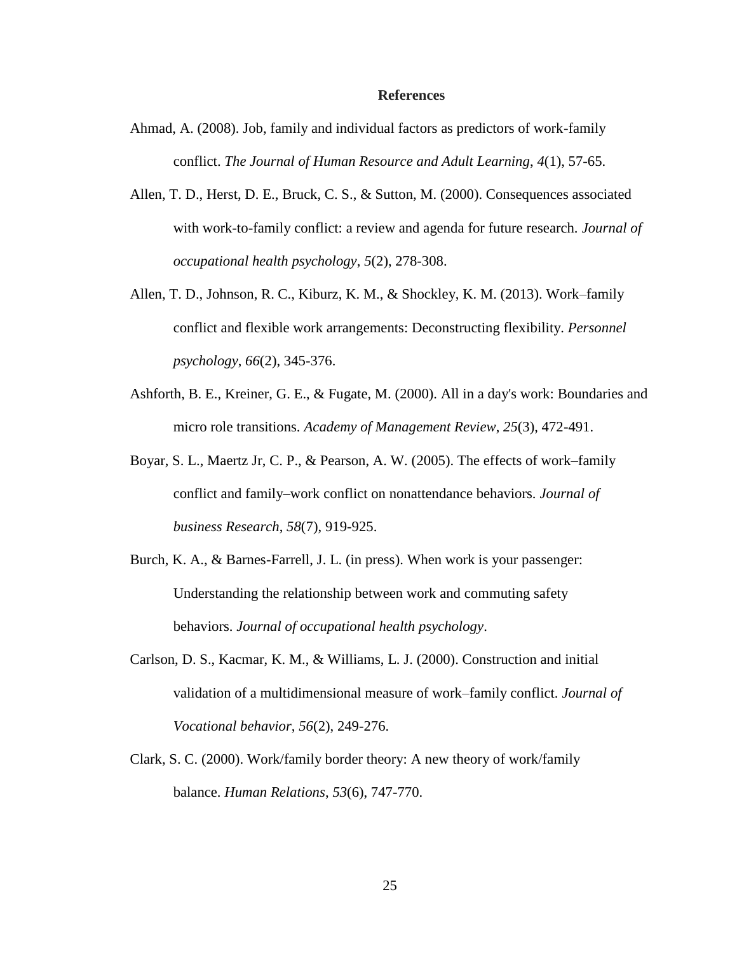#### **References**

- Ahmad, A. (2008). Job, family and individual factors as predictors of work-family conflict. *The Journal of Human Resource and Adult Learning*, *4*(1), 57-65.
- Allen, T. D., Herst, D. E., Bruck, C. S., & Sutton, M. (2000). Consequences associated with work-to-family conflict: a review and agenda for future research. *Journal of occupational health psychology*, *5*(2), 278-308.
- Allen, T. D., Johnson, R. C., Kiburz, K. M., & Shockley, K. M. (2013). Work–family conflict and flexible work arrangements: Deconstructing flexibility. *Personnel psychology*, *66*(2), 345-376.
- Ashforth, B. E., Kreiner, G. E., & Fugate, M. (2000). All in a day's work: Boundaries and micro role transitions. *Academy of Management Review*, *25*(3), 472-491.
- Boyar, S. L., Maertz Jr, C. P., & Pearson, A. W. (2005). The effects of work–family conflict and family–work conflict on nonattendance behaviors. *Journal of business Research*, *58*(7), 919-925.
- Burch, K. A., & Barnes-Farrell, J. L. (in press). When work is your passenger: Understanding the relationship between work and commuting safety behaviors. *Journal of occupational health psychology*.
- Carlson, D. S., Kacmar, K. M., & Williams, L. J. (2000). Construction and initial validation of a multidimensional measure of work–family conflict. *Journal of Vocational behavior*, *56*(2), 249-276.
- Clark, S. C. (2000). Work/family border theory: A new theory of work/family balance. *Human Relations*, *53*(6), 747-770.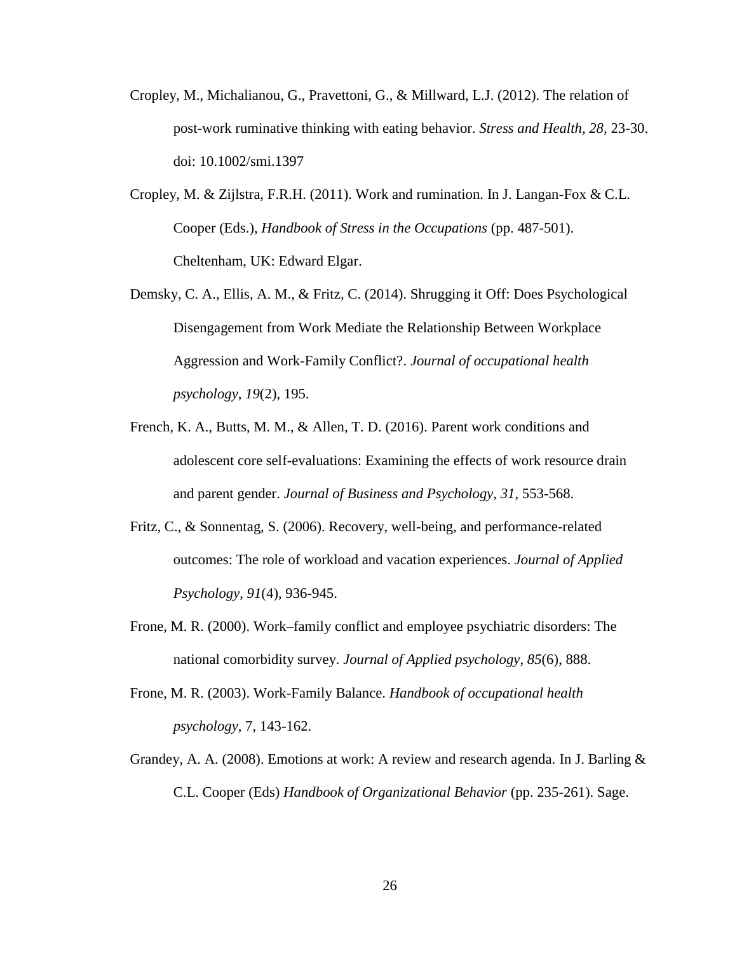- Cropley, M., Michalianou, G., Pravettoni, G., & Millward, L.J. (2012). The relation of post-work ruminative thinking with eating behavior. *Stress and Health, 28,* 23-30. doi: 10.1002/smi.1397
- Cropley, M. & Zijlstra, F.R.H. (2011). Work and rumination. In J. Langan-Fox & C.L. Cooper (Eds.), *Handbook of Stress in the Occupations* (pp. 487-501). Cheltenham, UK: Edward Elgar.
- Demsky, C. A., Ellis, A. M., & Fritz, C. (2014). Shrugging it Off: Does Psychological Disengagement from Work Mediate the Relationship Between Workplace Aggression and Work-Family Conflict?. *Journal of occupational health psychology*, *19*(2), 195.
- French, K. A., Butts, M. M., & Allen, T. D. (2016). Parent work conditions and adolescent core self-evaluations: Examining the effects of work resource drain and parent gender. *Journal of Business and Psychology*, *31*, 553-568.
- Fritz, C., & Sonnentag, S. (2006). Recovery, well-being, and performance-related outcomes: The role of workload and vacation experiences. *Journal of Applied Psychology*, *91*(4), 936-945.
- Frone, M. R. (2000). Work–family conflict and employee psychiatric disorders: The national comorbidity survey. *Journal of Applied psychology*, *85*(6), 888.
- Frone, M. R. (2003). Work-Family Balance. *Handbook of occupational health psychology*, 7, 143-162.
- Grandey, A. A. (2008). Emotions at work: A review and research agenda. In J. Barling  $\&$ C.L. Cooper (Eds) *Handbook of Organizational Behavior* (pp. 235-261). Sage.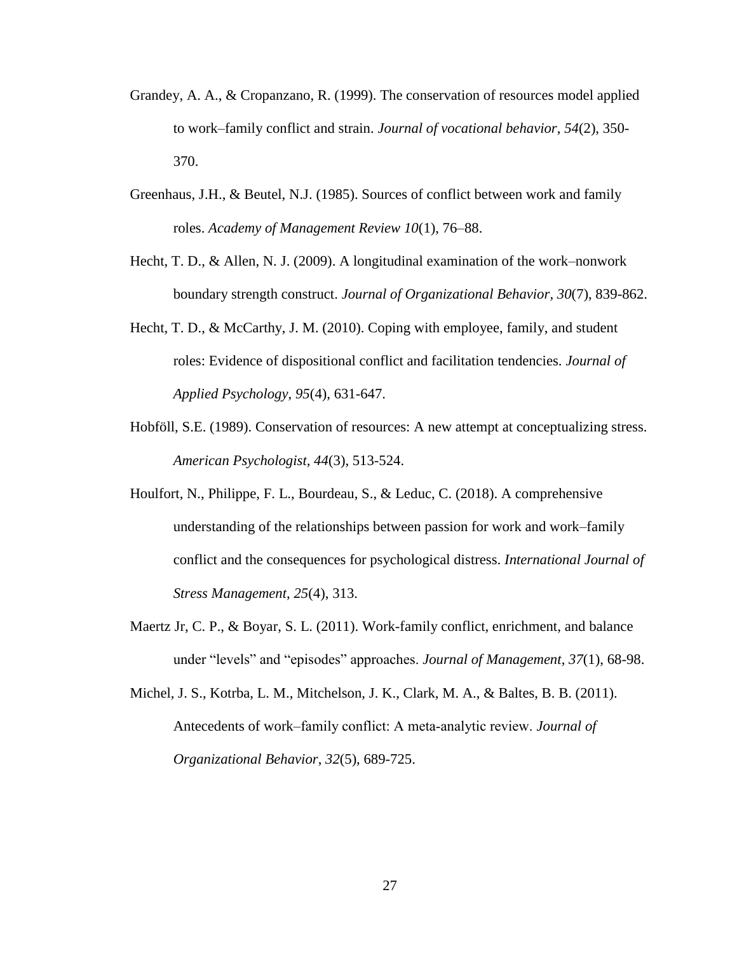- Grandey, A. A., & Cropanzano, R. (1999). The conservation of resources model applied to work–family conflict and strain. *Journal of vocational behavior*, *54*(2), 350- 370.
- Greenhaus, J.H., & Beutel, N.J. (1985). Sources of conflict between work and family roles. *Academy of Management Review 10*(1), 76–88.
- Hecht, T. D., & Allen, N. J. (2009). A longitudinal examination of the work–nonwork boundary strength construct. *Journal of Organizational Behavior*, *30*(7), 839-862.
- Hecht, T. D., & McCarthy, J. M. (2010). Coping with employee, family, and student roles: Evidence of dispositional conflict and facilitation tendencies. *Journal of Applied Psychology*, *95*(4), 631-647.
- Hobföll, S.E. (1989). Conservation of resources: A new attempt at conceptualizing stress. *American Psychologist, 44*(3), 513-524.
- Houlfort, N., Philippe, F. L., Bourdeau, S., & Leduc, C. (2018). A comprehensive understanding of the relationships between passion for work and work–family conflict and the consequences for psychological distress. *International Journal of Stress Management*, *25*(4), 313.
- Maertz Jr, C. P., & Boyar, S. L. (2011). Work-family conflict, enrichment, and balance under "levels" and "episodes" approaches. *Journal of Management*, *37*(1), 68-98.
- Michel, J. S., Kotrba, L. M., Mitchelson, J. K., Clark, M. A., & Baltes, B. B. (2011). Antecedents of work–family conflict: A meta‐analytic review. *Journal of Organizational Behavior*, *32*(5), 689-725.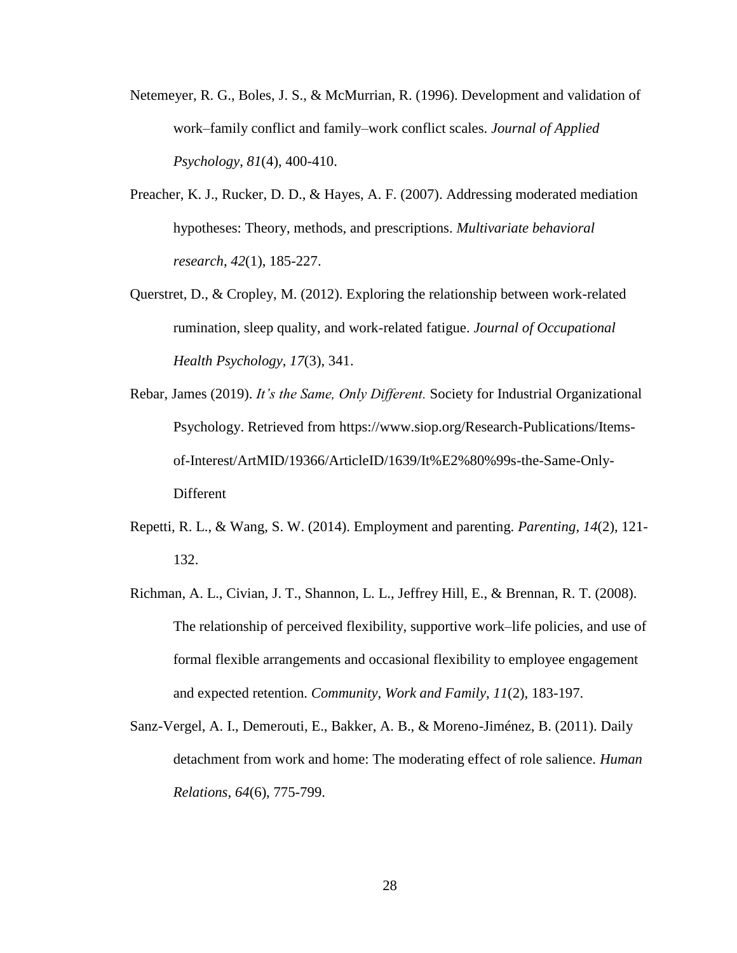- Netemeyer, R. G., Boles, J. S., & McMurrian, R. (1996). Development and validation of work–family conflict and family–work conflict scales. *Journal of Applied Psychology*, *81*(4), 400-410.
- Preacher, K. J., Rucker, D. D., & Hayes, A. F. (2007). Addressing moderated mediation hypotheses: Theory, methods, and prescriptions. *Multivariate behavioral research*, *42*(1), 185-227.
- Querstret, D., & Cropley, M. (2012). Exploring the relationship between work-related rumination, sleep quality, and work-related fatigue. *Journal of Occupational Health Psychology*, *17*(3), 341.
- Rebar, James (2019). *It's the Same, Only Different.* Society for Industrial Organizational Psychology. Retrieved from https://www.siop.org/Research-Publications/Itemsof-Interest/ArtMID/19366/ArticleID/1639/It%E2%80%99s-the-Same-Only-Different
- Repetti, R. L., & Wang, S. W. (2014). Employment and parenting. *Parenting*, *14*(2), 121- 132.
- Richman, A. L., Civian, J. T., Shannon, L. L., Jeffrey Hill, E., & Brennan, R. T. (2008). The relationship of perceived flexibility, supportive work–life policies, and use of formal flexible arrangements and occasional flexibility to employee engagement and expected retention. *Community, Work and Family*, *11*(2), 183-197.
- Sanz-Vergel, A. I., Demerouti, E., Bakker, A. B., & Moreno-Jiménez, B. (2011). Daily detachment from work and home: The moderating effect of role salience. *Human Relations*, *64*(6), 775-799.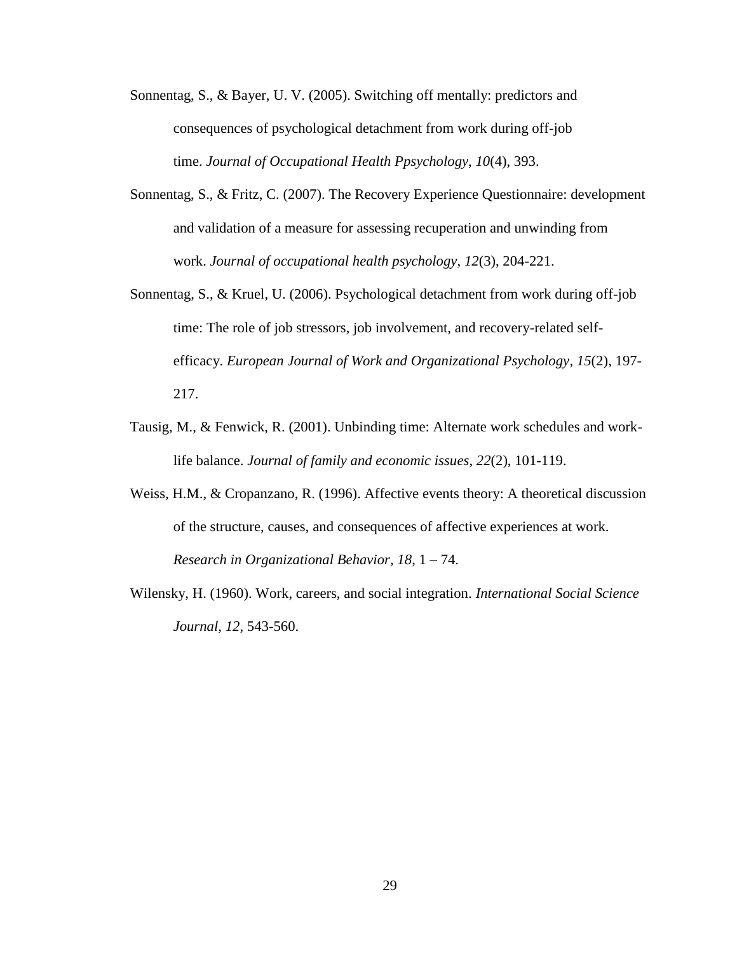- Sonnentag, S., & Bayer, U. V. (2005). Switching off mentally: predictors and consequences of psychological detachment from work during off-job time. *Journal of Occupational Health Ppsychology*, *10*(4), 393.
- Sonnentag, S., & Fritz, C. (2007). The Recovery Experience Questionnaire: development and validation of a measure for assessing recuperation and unwinding from work. *Journal of occupational health psychology*, *12*(3), 204-221.
- Sonnentag, S., & Kruel, U. (2006). Psychological detachment from work during off-job time: The role of job stressors, job involvement, and recovery-related selfefficacy. *European Journal of Work and Organizational Psychology*, *15*(2), 197- 217.
- Tausig, M., & Fenwick, R. (2001). Unbinding time: Alternate work schedules and worklife balance. *Journal of family and economic issues*, *22*(2), 101-119.
- Weiss, H.M., & Cropanzano, R. (1996). Affective events theory: A theoretical discussion of the structure, causes, and consequences of affective experiences at work. *Research in Organizational Behavior, 18*, 1 – 74.
- Wilensky, H. (1960). Work, careers, and social integration. *International Social Science Journal, 12,* 543-560.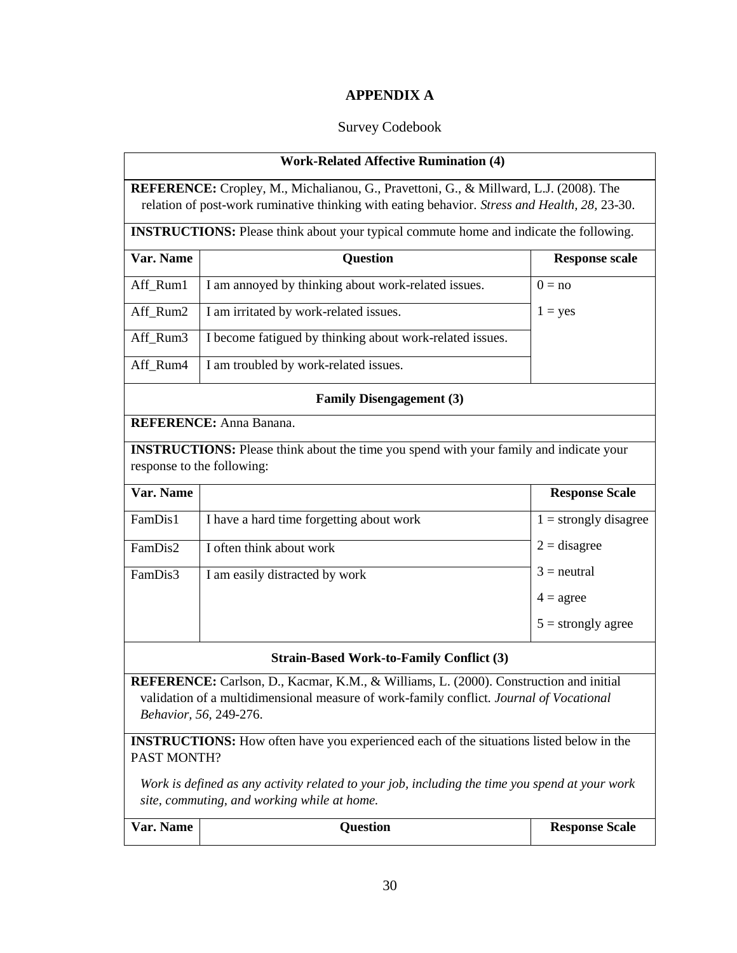# **APPENDIX A**

# Survey Codebook

<span id="page-34-0"></span>

| <b>Work-Related Affective Rumination (4)</b>                                                                                                                                                               |                                                                                                |                         |  |  |  |  |  |
|------------------------------------------------------------------------------------------------------------------------------------------------------------------------------------------------------------|------------------------------------------------------------------------------------------------|-------------------------|--|--|--|--|--|
| REFERENCE: Cropley, M., Michalianou, G., Pravettoni, G., & Millward, L.J. (2008). The                                                                                                                      |                                                                                                |                         |  |  |  |  |  |
| relation of post-work ruminative thinking with eating behavior. Stress and Health, 28, 23-30.                                                                                                              |                                                                                                |                         |  |  |  |  |  |
| <b>INSTRUCTIONS:</b> Please think about your typical commute home and indicate the following.                                                                                                              |                                                                                                |                         |  |  |  |  |  |
| Var. Name                                                                                                                                                                                                  | <b>Question</b>                                                                                | <b>Response scale</b>   |  |  |  |  |  |
| Aff_Rum1                                                                                                                                                                                                   | I am annoyed by thinking about work-related issues.                                            | $0 = no$                |  |  |  |  |  |
| Aff_Rum2                                                                                                                                                                                                   | I am irritated by work-related issues.                                                         | $1 = yes$               |  |  |  |  |  |
| Aff_Rum3                                                                                                                                                                                                   | I become fatigued by thinking about work-related issues.                                       |                         |  |  |  |  |  |
| Aff_Rum4                                                                                                                                                                                                   | I am troubled by work-related issues.                                                          |                         |  |  |  |  |  |
|                                                                                                                                                                                                            | <b>Family Disengagement (3)</b>                                                                |                         |  |  |  |  |  |
|                                                                                                                                                                                                            | <b>REFERENCE:</b> Anna Banana.                                                                 |                         |  |  |  |  |  |
|                                                                                                                                                                                                            | <b>INSTRUCTIONS:</b> Please think about the time you spend with your family and indicate your  |                         |  |  |  |  |  |
| response to the following:                                                                                                                                                                                 |                                                                                                |                         |  |  |  |  |  |
| Var. Name                                                                                                                                                                                                  |                                                                                                | <b>Response Scale</b>   |  |  |  |  |  |
| FamDis1                                                                                                                                                                                                    | I have a hard time forgetting about work                                                       | $1 =$ strongly disagree |  |  |  |  |  |
| FamDis2                                                                                                                                                                                                    | I often think about work                                                                       | $2 =$ disagree          |  |  |  |  |  |
| FamDis3                                                                                                                                                                                                    | I am easily distracted by work                                                                 | $3$ = neutral           |  |  |  |  |  |
|                                                                                                                                                                                                            |                                                                                                |                         |  |  |  |  |  |
|                                                                                                                                                                                                            |                                                                                                | $5 =$ strongly agree    |  |  |  |  |  |
|                                                                                                                                                                                                            | <b>Strain-Based Work-to-Family Conflict (3)</b>                                                |                         |  |  |  |  |  |
| REFERENCE: Carlson, D., Kacmar, K.M., & Williams, L. (2000). Construction and initial<br>validation of a multidimensional measure of work-family conflict. Journal of Vocational<br>Behavior, 56, 249-276. |                                                                                                |                         |  |  |  |  |  |
|                                                                                                                                                                                                            | <b>INSTRUCTIONS:</b> How often have you experienced each of the situations listed below in the |                         |  |  |  |  |  |
| PAST MONTH?                                                                                                                                                                                                |                                                                                                |                         |  |  |  |  |  |
| Work is defined as any activity related to your job, including the time you spend at your work                                                                                                             |                                                                                                |                         |  |  |  |  |  |
| site, commuting, and working while at home.                                                                                                                                                                |                                                                                                |                         |  |  |  |  |  |
| Var. Name                                                                                                                                                                                                  | <b>Question</b>                                                                                | <b>Response Scale</b>   |  |  |  |  |  |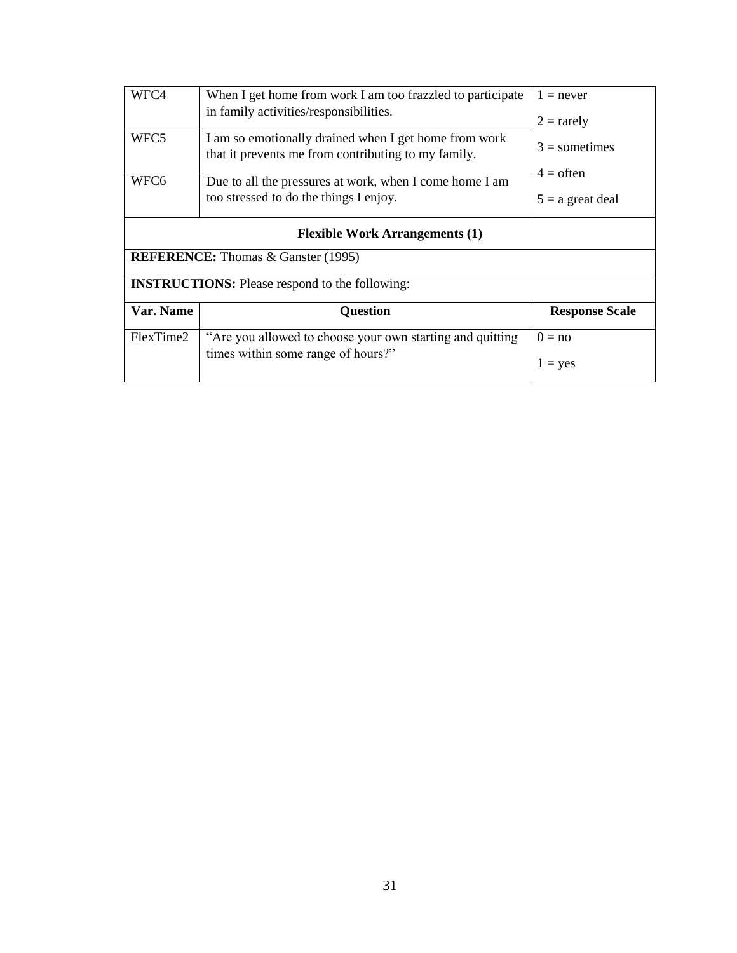| WFC4                                                  | When I get home from work I am too frazzled to participate<br>in family activities/responsibilities.         |                                   |  |  |  |  |  |
|-------------------------------------------------------|--------------------------------------------------------------------------------------------------------------|-----------------------------------|--|--|--|--|--|
| WFC5                                                  | I am so emotionally drained when I get home from work<br>that it prevents me from contributing to my family. | $2 =$ rarely<br>$3 =$ sometimes   |  |  |  |  |  |
| WFC6                                                  | Due to all the pressures at work, when I come home I am<br>too stressed to do the things I enjoy.            | $4 =$ often<br>$5 = a$ great deal |  |  |  |  |  |
| <b>Flexible Work Arrangements (1)</b>                 |                                                                                                              |                                   |  |  |  |  |  |
| <b>REFERENCE:</b> Thomas & Ganster (1995)             |                                                                                                              |                                   |  |  |  |  |  |
| <b>INSTRUCTIONS:</b> Please respond to the following: |                                                                                                              |                                   |  |  |  |  |  |
| Var. Name                                             | <b>Question</b>                                                                                              | <b>Response Scale</b>             |  |  |  |  |  |
| FlexTime2                                             | "Are you allowed to choose your own starting and quitting<br>times within some range of hours?"              | $0 = no$<br>$1 = yes$             |  |  |  |  |  |